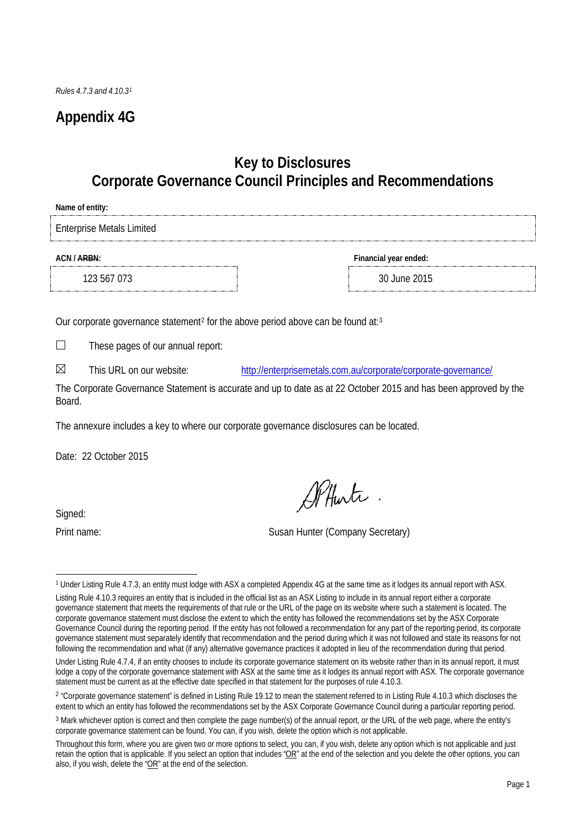# **Appendix 4G**

## **Key to Disclosures Corporate Governance Council Principles and Recommendations**

| Name of entity:                  |                       |
|----------------------------------|-----------------------|
| <b>Enterprise Metals Limited</b> |                       |
| ACN / ARBN:                      | Financial year ended: |
| 123 567 073                      | 30 June 2015          |

Our corporate governance statement<sup>[2](#page-0-1)</sup> for the above period above can be found at:<sup>[3](#page-0-2)</sup>

 $\Box$ These pages of our annual report:

 $\boxtimes$ This URL on our website: <http://enterprisemetals.com.au/corporate/corporate-governance/>

The Corporate Governance Statement is accurate and up to date as at 22 October 2015 and has been approved by the **Board** 

The annexure includes a key to where our corporate governance disclosures can be located.

Date: 22 October 2015

Signed:

Alfunte

Print name: Susan Hunter (Company Secretary)

<span id="page-0-0"></span>ı <sup>1</sup> Under Listing Rule 4.7.3, an entity must lodge with ASX a completed Appendix 4G at the same time as it lodges its annual report with ASX.

Listing Rule 4.10.3 requires an entity that is included in the official list as an ASX Listing to include in its annual report either a corporate governance statement that meets the requirements of that rule or the URL of the page on its website where such a statement is located. The corporate governance statement must disclose the extent to which the entity has followed the recommendations set by the ASX Corporate Governance Council during the reporting period. If the entity has not followed a recommendation for any part of the reporting period, its corporate governance statement must separately identify that recommendation and the period during which it was not followed and state its reasons for not following the recommendation and what (if any) alternative governance practices it adopted in lieu of the recommendation during that period.

Under Listing Rule 4.7.4, if an entity chooses to include its corporate governance statement on its website rather than in its annual report, it must lodge a copy of the corporate governance statement with ASX at the same time as it lodges its annual report with ASX. The corporate governance statement must be current as at the effective date specified in that statement for the purposes of rule 4.10.3.

<span id="page-0-1"></span><sup>&</sup>lt;sup>2</sup> "Corporate governance statement" is defined in Listing Rule 19.12 to mean the statement referred to in Listing Rule 4.10.3 which discloses the extent to which an entity has followed the recommendations set by the ASX Corporate Governance Council during a particular reporting period.

<span id="page-0-2"></span><sup>3</sup> Mark whichever option is correct and then complete the page number(s) of the annual report, or the URL of the web page, where the entity's corporate governance statement can be found. You can, if you wish, delete the option which is not applicable.

Throughout this form, where you are given two or more options to select, you can, if you wish, delete any option which is not applicable and just retain the option that is applicable. If you select an option that includes " $OR$ " at the end of the selection and you delete the other options, you can also, if you wish, delete the "OR" at the end of the selection.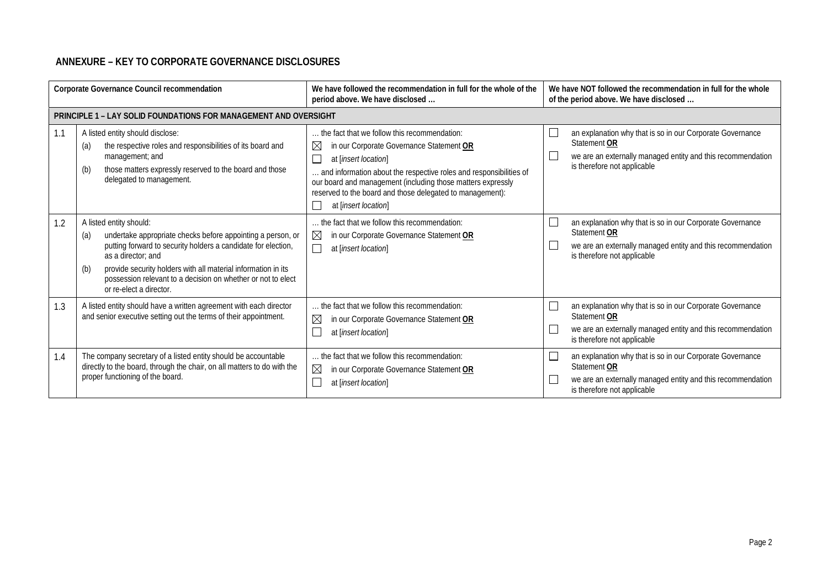### **ANNEXURE – KEY TO CORPORATE GOVERNANCE DISCLOSURES**

| Corporate Governance Council recommendation |                                                                                                                                                                                                                                                                                                                                                         | We have followed the recommendation in full for the whole of the<br>period above. We have disclosed                                                                                                                                                                                                                                                       | We have NOT followed the recommendation in full for the whole<br>of the period above. We have disclosed                                                                                           |
|---------------------------------------------|---------------------------------------------------------------------------------------------------------------------------------------------------------------------------------------------------------------------------------------------------------------------------------------------------------------------------------------------------------|-----------------------------------------------------------------------------------------------------------------------------------------------------------------------------------------------------------------------------------------------------------------------------------------------------------------------------------------------------------|---------------------------------------------------------------------------------------------------------------------------------------------------------------------------------------------------|
|                                             | <b>PRINCIPLE 1 - LAY SOLID FOUNDATIONS FOR MANAGEMENT AND OVERSIGHT</b>                                                                                                                                                                                                                                                                                 |                                                                                                                                                                                                                                                                                                                                                           |                                                                                                                                                                                                   |
| 1.1                                         | A listed entity should disclose:<br>the respective roles and responsibilities of its board and<br>(a)<br>management; and<br>those matters expressly reserved to the board and those<br>(b)<br>delegated to management.                                                                                                                                  | the fact that we follow this recommendation:<br>$\boxtimes$<br>in our Corporate Governance Statement OR<br>at [insert location]<br>and information about the respective roles and responsibilities of<br>our board and management (including those matters expressly<br>reserved to the board and those delegated to management):<br>at [insert location] | an explanation why that is so in our Corporate Governance<br>Statement OR<br>we are an externally managed entity and this recommendation<br>is therefore not applicable                           |
| 1.2                                         | A listed entity should:<br>undertake appropriate checks before appointing a person, or<br>(a)<br>putting forward to security holders a candidate for election,<br>as a director: and<br>provide security holders with all material information in its<br>(b)<br>possession relevant to a decision on whether or not to elect<br>or re-elect a director. | the fact that we follow this recommendation:<br>$\boxtimes$<br>in our Corporate Governance Statement OR<br>at [insert location]                                                                                                                                                                                                                           | an explanation why that is so in our Corporate Governance<br>$\mathbf{I}$<br>Statement OR<br>$\Box$<br>we are an externally managed entity and this recommendation<br>is therefore not applicable |
| 1.3                                         | A listed entity should have a written agreement with each director<br>and senior executive setting out the terms of their appointment.                                                                                                                                                                                                                  | the fact that we follow this recommendation:<br>$\boxtimes$<br>in our Corporate Governance Statement OR<br>at [insert location]                                                                                                                                                                                                                           | an explanation why that is so in our Corporate Governance<br>L<br>Statement OR<br>we are an externally managed entity and this recommendation<br>is therefore not applicable                      |
| 1.4                                         | The company secretary of a listed entity should be accountable<br>directly to the board, through the chair, on all matters to do with the<br>proper functioning of the board.                                                                                                                                                                           | the fact that we follow this recommendation:<br>$\boxtimes$<br>in our Corporate Governance Statement OR<br>at [insert location]                                                                                                                                                                                                                           | Е<br>an explanation why that is so in our Corporate Governance<br>Statement OR<br>we are an externally managed entity and this recommendation<br>is therefore not applicable                      |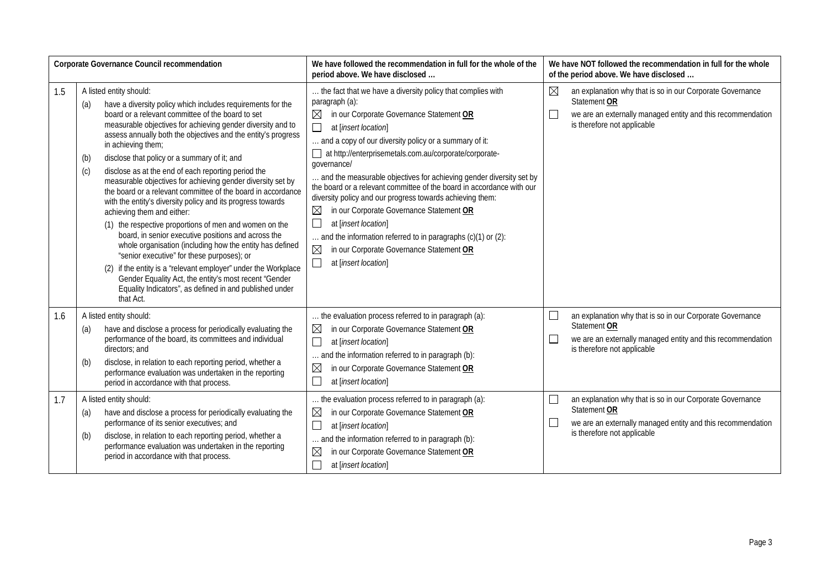|     | Corporate Governance Council recommendation                                                                                                                                                                                                                                                                                                                                                                                                                                                                                                                                                                                                                                                                                                                                                                                                                                                                                                                                                                                                                                             | We have followed the recommendation in full for the whole of the<br>period above. We have disclosed                                                                                                                                                                                                                                                                                                                                                                                                                                                                                                                                                                                                                                                                                  | We have NOT followed the recommendation in full for the whole<br>of the period above. We have disclosed                                                                                          |
|-----|-----------------------------------------------------------------------------------------------------------------------------------------------------------------------------------------------------------------------------------------------------------------------------------------------------------------------------------------------------------------------------------------------------------------------------------------------------------------------------------------------------------------------------------------------------------------------------------------------------------------------------------------------------------------------------------------------------------------------------------------------------------------------------------------------------------------------------------------------------------------------------------------------------------------------------------------------------------------------------------------------------------------------------------------------------------------------------------------|--------------------------------------------------------------------------------------------------------------------------------------------------------------------------------------------------------------------------------------------------------------------------------------------------------------------------------------------------------------------------------------------------------------------------------------------------------------------------------------------------------------------------------------------------------------------------------------------------------------------------------------------------------------------------------------------------------------------------------------------------------------------------------------|--------------------------------------------------------------------------------------------------------------------------------------------------------------------------------------------------|
| 1.5 | A listed entity should:<br>have a diversity policy which includes requirements for the<br>(a)<br>board or a relevant committee of the board to set<br>measurable objectives for achieving gender diversity and to<br>assess annually both the objectives and the entity's progress<br>in achieving them;<br>disclose that policy or a summary of it; and<br>(b)<br>disclose as at the end of each reporting period the<br>(c)<br>measurable objectives for achieving gender diversity set by<br>the board or a relevant committee of the board in accordance<br>with the entity's diversity policy and its progress towards<br>achieving them and either:<br>(1) the respective proportions of men and women on the<br>board, in senior executive positions and across the<br>whole organisation (including how the entity has defined<br>"senior executive" for these purposes); or<br>(2) if the entity is a "relevant employer" under the Workplace<br>Gender Equality Act, the entity's most recent "Gender<br>Equality Indicators", as defined in and published under<br>that Act. | the fact that we have a diversity policy that complies with<br>paragraph (a):<br>$\boxtimes$<br>in our Corporate Governance Statement OR<br>$\Box$<br>at [insert location]<br>and a copy of our diversity policy or a summary of it:<br>at http://enterprisemetals.com.au/corporate/corporate-<br>governance/<br>and the measurable objectives for achieving gender diversity set by<br>the board or a relevant committee of the board in accordance with our<br>diversity policy and our progress towards achieving them:<br>$\boxtimes$<br>in our Corporate Governance Statement OR<br>$\Box$<br>at [insert location]<br>and the information referred to in paragraphs (c)(1) or (2):<br>$\boxtimes$<br>in our Corporate Governance Statement OR<br>$\Box$<br>at [insert location] | $\boxtimes$<br>an explanation why that is so in our Corporate Governance<br>Statement OR<br>$\Box$<br>we are an externally managed entity and this recommendation<br>is therefore not applicable |
| 1.6 | A listed entity should:<br>have and disclose a process for periodically evaluating the<br>(a)<br>performance of the board, its committees and individual<br>directors; and<br>disclose, in relation to each reporting period, whether a<br>(b)<br>performance evaluation was undertaken in the reporting<br>period in accordance with that process.                                                                                                                                                                                                                                                                                                                                                                                                                                                                                                                                                                                                                                                                                                                                     | the evaluation process referred to in paragraph (a):<br>$\boxtimes$<br>in our Corporate Governance Statement OR<br>$\Box$<br>at [insert location]<br>and the information referred to in paragraph (b):<br>$\boxtimes$<br>in our Corporate Governance Statement OR<br>$\Box$<br>at [insert location]                                                                                                                                                                                                                                                                                                                                                                                                                                                                                  | $\Box$<br>an explanation why that is so in our Corporate Governance<br>Statement OR<br>⊑<br>we are an externally managed entity and this recommendation<br>is therefore not applicable           |
| 1.7 | A listed entity should:<br>have and disclose a process for periodically evaluating the<br>(a)<br>performance of its senior executives; and<br>disclose, in relation to each reporting period, whether a<br>(b)<br>performance evaluation was undertaken in the reporting<br>period in accordance with that process.                                                                                                                                                                                                                                                                                                                                                                                                                                                                                                                                                                                                                                                                                                                                                                     | the evaluation process referred to in paragraph (a):<br>$\boxtimes$<br>in our Corporate Governance Statement OR<br>$\Box$<br>at [insert location]<br>and the information referred to in paragraph (b):<br>$\boxtimes$<br>in our Corporate Governance Statement OR<br>г<br>at [insert location]                                                                                                                                                                                                                                                                                                                                                                                                                                                                                       | $\Box$<br>an explanation why that is so in our Corporate Governance<br>Statement OR<br>$\Box$<br>we are an externally managed entity and this recommendation<br>is therefore not applicable      |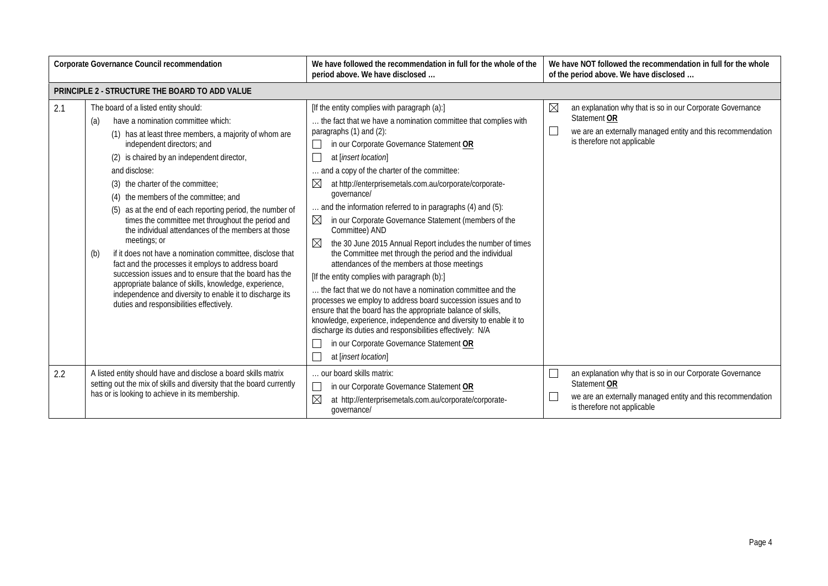| Corporate Governance Council recommendation<br>We have followed the recommendation in full for the whole of the<br>period above. We have disclosed |                                                                                                                                                                                                                                                                                                                                                                                                                                                                                                                                                                                                                                                                                                                                                                                                                                                                     | We have NOT followed the recommendation in full for the whole<br>of the period above. We have disclosed                                                                                                                                                                                                                                                                                                                                                                                                                                                                                                                                                                                                                                                                                                                                                                                                                                                                                                                                                                                                                                                            |                                                                                                                                                                                        |
|----------------------------------------------------------------------------------------------------------------------------------------------------|---------------------------------------------------------------------------------------------------------------------------------------------------------------------------------------------------------------------------------------------------------------------------------------------------------------------------------------------------------------------------------------------------------------------------------------------------------------------------------------------------------------------------------------------------------------------------------------------------------------------------------------------------------------------------------------------------------------------------------------------------------------------------------------------------------------------------------------------------------------------|--------------------------------------------------------------------------------------------------------------------------------------------------------------------------------------------------------------------------------------------------------------------------------------------------------------------------------------------------------------------------------------------------------------------------------------------------------------------------------------------------------------------------------------------------------------------------------------------------------------------------------------------------------------------------------------------------------------------------------------------------------------------------------------------------------------------------------------------------------------------------------------------------------------------------------------------------------------------------------------------------------------------------------------------------------------------------------------------------------------------------------------------------------------------|----------------------------------------------------------------------------------------------------------------------------------------------------------------------------------------|
|                                                                                                                                                    | PRINCIPLE 2 - STRUCTURE THE BOARD TO ADD VALUE                                                                                                                                                                                                                                                                                                                                                                                                                                                                                                                                                                                                                                                                                                                                                                                                                      |                                                                                                                                                                                                                                                                                                                                                                                                                                                                                                                                                                                                                                                                                                                                                                                                                                                                                                                                                                                                                                                                                                                                                                    |                                                                                                                                                                                        |
| 2.1                                                                                                                                                | The board of a listed entity should:<br>have a nomination committee which:<br>(a)<br>(1) has at least three members, a majority of whom are<br>independent directors; and<br>(2) is chaired by an independent director,<br>and disclose:<br>(3) the charter of the committee:<br>(4) the members of the committee; and<br>(5) as at the end of each reporting period, the number of<br>times the committee met throughout the period and<br>the individual attendances of the members at those<br>meetings; or<br>if it does not have a nomination committee, disclose that<br>(b)<br>fact and the processes it employs to address board<br>succession issues and to ensure that the board has the<br>appropriate balance of skills, knowledge, experience,<br>independence and diversity to enable it to discharge its<br>duties and responsibilities effectively. | [If the entity complies with paragraph (a):]<br>the fact that we have a nomination committee that complies with<br>paragraphs $(1)$ and $(2)$ :<br>in our Corporate Governance Statement OR<br>at [insert location]<br>and a copy of the charter of the committee:<br>at http://enterprisemetals.com.au/corporate/corporate-<br>$\boxtimes$<br>governance/<br>and the information referred to in paragraphs (4) and (5):<br>$\boxtimes$<br>in our Corporate Governance Statement (members of the<br>Committee) AND<br>$\boxtimes$<br>the 30 June 2015 Annual Report includes the number of times<br>the Committee met through the period and the individual<br>attendances of the members at those meetings<br>[If the entity complies with paragraph (b):]<br>the fact that we do not have a nomination committee and the<br>processes we employ to address board succession issues and to<br>ensure that the board has the appropriate balance of skills,<br>knowledge, experience, independence and diversity to enable it to<br>discharge its duties and responsibilities effectively: N/A<br>in our Corporate Governance Statement OR<br>at [insert location] | $\boxtimes$<br>an explanation why that is so in our Corporate Governance<br>Statement OR<br>we are an externally managed entity and this recommendation<br>is therefore not applicable |
| 2.2                                                                                                                                                | A listed entity should have and disclose a board skills matrix<br>setting out the mix of skills and diversity that the board currently<br>has or is looking to achieve in its membership.                                                                                                                                                                                                                                                                                                                                                                                                                                                                                                                                                                                                                                                                           | our board skills matrix:<br>$\Box$<br>in our Corporate Governance Statement OR<br>$\boxtimes$<br>at http://enterprisemetals.com.au/corporate/corporate-<br>governance/                                                                                                                                                                                                                                                                                                                                                                                                                                                                                                                                                                                                                                                                                                                                                                                                                                                                                                                                                                                             | an explanation why that is so in our Corporate Governance<br>Statement OR<br>we are an externally managed entity and this recommendation<br>is therefore not applicable                |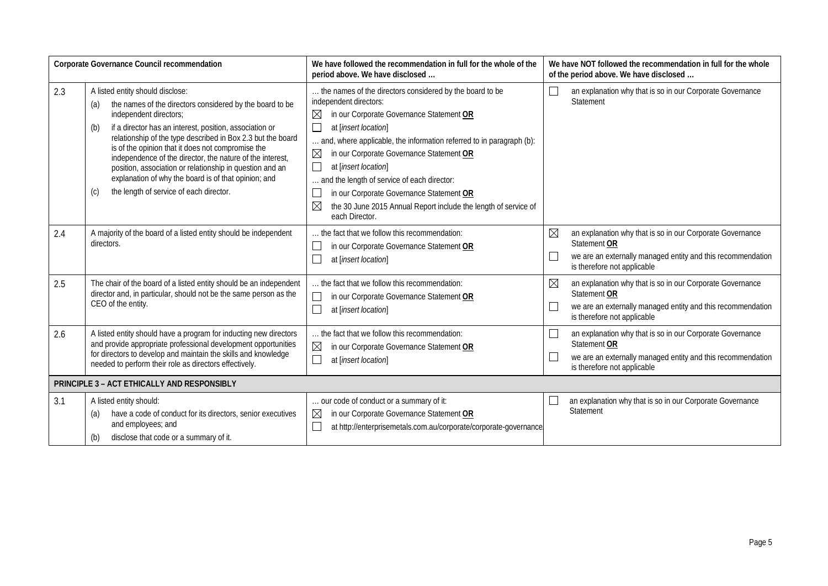|     | Corporate Governance Council recommendation                                                                                                                                                                                                                                                                                                                                                                                                                                                                                                            | We have followed the recommendation in full for the whole of the<br>period above. We have disclosed                                                                                                                                                                                                                                                                                                                                                                                                                                                 | We have NOT followed the recommendation in full for the whole<br>of the period above. We have disclosed                                                                                          |
|-----|--------------------------------------------------------------------------------------------------------------------------------------------------------------------------------------------------------------------------------------------------------------------------------------------------------------------------------------------------------------------------------------------------------------------------------------------------------------------------------------------------------------------------------------------------------|-----------------------------------------------------------------------------------------------------------------------------------------------------------------------------------------------------------------------------------------------------------------------------------------------------------------------------------------------------------------------------------------------------------------------------------------------------------------------------------------------------------------------------------------------------|--------------------------------------------------------------------------------------------------------------------------------------------------------------------------------------------------|
| 2.3 | A listed entity should disclose:<br>the names of the directors considered by the board to be<br>(a)<br>independent directors;<br>if a director has an interest, position, association or<br>(b)<br>relationship of the type described in Box 2.3 but the board<br>is of the opinion that it does not compromise the<br>independence of the director, the nature of the interest,<br>position, association or relationship in question and an<br>explanation of why the board is of that opinion; and<br>the length of service of each director.<br>(c) | the names of the directors considered by the board to be<br>independent directors:<br>⊠<br>in our Corporate Governance Statement OR<br>$\Box$<br>at [insert location]<br>and, where applicable, the information referred to in paragraph (b):<br>$\boxtimes$<br>in our Corporate Governance Statement OR<br>$\Box$<br>at [insert location]<br>and the length of service of each director:<br>$\Box$<br>in our Corporate Governance Statement OR<br>$\boxtimes$<br>the 30 June 2015 Annual Report include the length of service of<br>each Director. | an explanation why that is so in our Corporate Governance<br>Statement                                                                                                                           |
| 2.4 | A majority of the board of a listed entity should be independent<br>directors.                                                                                                                                                                                                                                                                                                                                                                                                                                                                         | the fact that we follow this recommendation:<br>in our Corporate Governance Statement OR<br>$\Box$<br>at [insert location]                                                                                                                                                                                                                                                                                                                                                                                                                          | $\boxtimes$<br>an explanation why that is so in our Corporate Governance<br>Statement OR<br>$\Box$<br>we are an externally managed entity and this recommendation<br>is therefore not applicable |
| 2.5 | The chair of the board of a listed entity should be an independent<br>director and, in particular, should not be the same person as the<br>CEO of the entity.                                                                                                                                                                                                                                                                                                                                                                                          | the fact that we follow this recommendation:<br>in our Corporate Governance Statement OR<br>$\Box$<br>at [insert location]                                                                                                                                                                                                                                                                                                                                                                                                                          | $\boxtimes$<br>an explanation why that is so in our Corporate Governance<br>Statement OR<br>$\Box$<br>we are an externally managed entity and this recommendation<br>is therefore not applicable |
| 2.6 | A listed entity should have a program for inducting new directors<br>and provide appropriate professional development opportunities<br>for directors to develop and maintain the skills and knowledge<br>needed to perform their role as directors effectively.                                                                                                                                                                                                                                                                                        | the fact that we follow this recommendation:<br>$\boxtimes$<br>in our Corporate Governance Statement OR<br>$\overline{\phantom{a}}$<br>at [insert location]                                                                                                                                                                                                                                                                                                                                                                                         | an explanation why that is so in our Corporate Governance<br>Statement OR<br>we are an externally managed entity and this recommendation<br>is therefore not applicable                          |
|     | <b>PRINCIPLE 3 - ACT ETHICALLY AND RESPONSIBLY</b>                                                                                                                                                                                                                                                                                                                                                                                                                                                                                                     |                                                                                                                                                                                                                                                                                                                                                                                                                                                                                                                                                     |                                                                                                                                                                                                  |
| 3.1 | A listed entity should:<br>have a code of conduct for its directors, senior executives<br>(a)<br>and employees; and<br>disclose that code or a summary of it.<br>(b)                                                                                                                                                                                                                                                                                                                                                                                   | our code of conduct or a summary of it:<br>$\boxtimes$<br>in our Corporate Governance Statement OR<br>$\Box$<br>at http://enterprisemetals.com.au/corporate/corporate-governance                                                                                                                                                                                                                                                                                                                                                                    | an explanation why that is so in our Corporate Governance<br>Statement                                                                                                                           |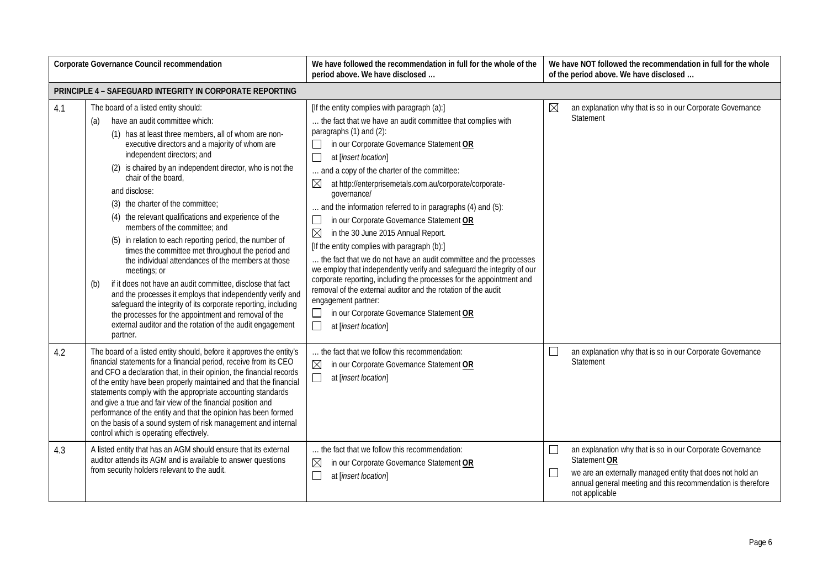| Corporate Governance Council recommendation |                                                                                                                                                                                                                                                                                                                                                                                                                                                                                                                                                                                                                                                                                                                                                                                                                                                                                                                                                                                      | We have followed the recommendation in full for the whole of the<br>period above. We have disclosed                                                                                                                                                                                                                                                                                                                                                                                                                                                                                                                                                                                                                                                                                                                                                                                                                                                                             | We have NOT followed the recommendation in full for the whole<br>of the period above. We have disclosed                                                                                                                                             |
|---------------------------------------------|--------------------------------------------------------------------------------------------------------------------------------------------------------------------------------------------------------------------------------------------------------------------------------------------------------------------------------------------------------------------------------------------------------------------------------------------------------------------------------------------------------------------------------------------------------------------------------------------------------------------------------------------------------------------------------------------------------------------------------------------------------------------------------------------------------------------------------------------------------------------------------------------------------------------------------------------------------------------------------------|---------------------------------------------------------------------------------------------------------------------------------------------------------------------------------------------------------------------------------------------------------------------------------------------------------------------------------------------------------------------------------------------------------------------------------------------------------------------------------------------------------------------------------------------------------------------------------------------------------------------------------------------------------------------------------------------------------------------------------------------------------------------------------------------------------------------------------------------------------------------------------------------------------------------------------------------------------------------------------|-----------------------------------------------------------------------------------------------------------------------------------------------------------------------------------------------------------------------------------------------------|
|                                             | <b>PRINCIPLE 4 - SAFEGUARD INTEGRITY IN CORPORATE REPORTING</b>                                                                                                                                                                                                                                                                                                                                                                                                                                                                                                                                                                                                                                                                                                                                                                                                                                                                                                                      |                                                                                                                                                                                                                                                                                                                                                                                                                                                                                                                                                                                                                                                                                                                                                                                                                                                                                                                                                                                 |                                                                                                                                                                                                                                                     |
| 4.1                                         | The board of a listed entity should:<br>have an audit committee which:<br>(a)<br>(1) has at least three members, all of whom are non-<br>executive directors and a majority of whom are<br>independent directors; and<br>(2) is chaired by an independent director, who is not the<br>chair of the board,<br>and disclose:<br>(3) the charter of the committee;<br>(4) the relevant qualifications and experience of the<br>members of the committee; and<br>(5) in relation to each reporting period, the number of<br>times the committee met throughout the period and<br>the individual attendances of the members at those<br>meetings; or<br>if it does not have an audit committee, disclose that fact<br>(b)<br>and the processes it employs that independently verify and<br>safeguard the integrity of its corporate reporting, including<br>the processes for the appointment and removal of the<br>external auditor and the rotation of the audit engagement<br>partner. | [If the entity complies with paragraph (a):]<br>the fact that we have an audit committee that complies with<br>paragraphs (1) and (2):<br>in our Corporate Governance Statement OR<br>$\Box$<br>at [insert location]<br>and a copy of the charter of the committee:<br>⊠<br>at http://enterprisemetals.com.au/corporate/corporate-<br>qovernance/<br>and the information referred to in paragraphs (4) and (5):<br>in our Corporate Governance Statement OR<br>$\mathbb{R}^n$<br>$\boxtimes$<br>in the 30 June 2015 Annual Report.<br>[If the entity complies with paragraph (b):]<br>the fact that we do not have an audit committee and the processes<br>we employ that independently verify and safeguard the integrity of our<br>corporate reporting, including the processes for the appointment and<br>removal of the external auditor and the rotation of the audit<br>engagement partner:<br>in our Corporate Governance Statement OR<br>$\Box$<br>at [insert location] | $\boxtimes$<br>an explanation why that is so in our Corporate Governance<br>Statement                                                                                                                                                               |
| 4.2                                         | The board of a listed entity should, before it approves the entity's<br>financial statements for a financial period, receive from its CEO<br>and CFO a declaration that, in their opinion, the financial records<br>of the entity have been properly maintained and that the financial<br>statements comply with the appropriate accounting standards<br>and give a true and fair view of the financial position and<br>performance of the entity and that the opinion has been formed<br>on the basis of a sound system of risk management and internal<br>control which is operating effectively.                                                                                                                                                                                                                                                                                                                                                                                  | the fact that we follow this recommendation:<br>$\boxtimes$<br>in our Corporate Governance Statement OR<br>$\Box$<br>at [insert location]                                                                                                                                                                                                                                                                                                                                                                                                                                                                                                                                                                                                                                                                                                                                                                                                                                       | an explanation why that is so in our Corporate Governance<br>$\Box$<br>Statement                                                                                                                                                                    |
| 4.3                                         | A listed entity that has an AGM should ensure that its external<br>auditor attends its AGM and is available to answer questions<br>from security holders relevant to the audit.                                                                                                                                                                                                                                                                                                                                                                                                                                                                                                                                                                                                                                                                                                                                                                                                      | the fact that we follow this recommendation:<br>$\boxtimes$<br>in our Corporate Governance Statement OR<br>П<br>at [insert location]                                                                                                                                                                                                                                                                                                                                                                                                                                                                                                                                                                                                                                                                                                                                                                                                                                            | an explanation why that is so in our Corporate Governance<br>$\mathbb{R}^n$<br>Statement OR<br>we are an externally managed entity that does not hold an<br>$\Box$<br>annual general meeting and this recommendation is therefore<br>not applicable |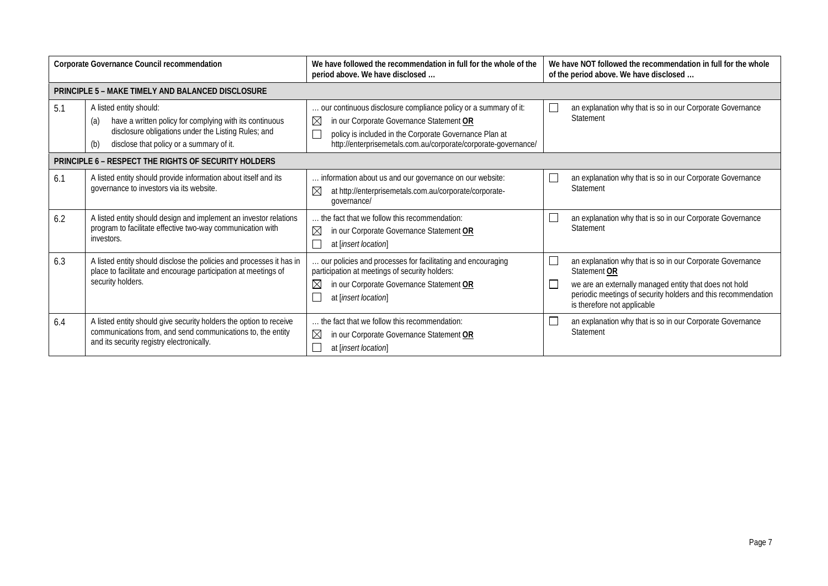| Corporate Governance Council recommendation |                                                                                                                                                                                                     | We have followed the recommendation in full for the whole of the<br>period above. We have disclosed                                                                                                                                                    | We have NOT followed the recommendation in full for the whole<br>of the period above. We have disclosed                                                                                                                                                 |  |
|---------------------------------------------|-----------------------------------------------------------------------------------------------------------------------------------------------------------------------------------------------------|--------------------------------------------------------------------------------------------------------------------------------------------------------------------------------------------------------------------------------------------------------|---------------------------------------------------------------------------------------------------------------------------------------------------------------------------------------------------------------------------------------------------------|--|
|                                             | PRINCIPLE 5 - MAKE TIMELY AND BALANCED DISCLOSURE                                                                                                                                                   |                                                                                                                                                                                                                                                        |                                                                                                                                                                                                                                                         |  |
| 5.1                                         | A listed entity should:<br>have a written policy for complying with its continuous<br>(a)<br>disclosure obligations under the Listing Rules; and<br>disclose that policy or a summary of it.<br>(b) | our continuous disclosure compliance policy or a summary of it:<br>$\boxtimes$<br>in our Corporate Governance Statement OR<br>policy is included in the Corporate Governance Plan at<br>http://enterprisemetals.com.au/corporate/corporate-governance/ | $\Box$<br>an explanation why that is so in our Corporate Governance<br>Statement                                                                                                                                                                        |  |
|                                             | PRINCIPLE 6 - RESPECT THE RIGHTS OF SECURITY HOLDERS                                                                                                                                                |                                                                                                                                                                                                                                                        |                                                                                                                                                                                                                                                         |  |
| 6.1                                         | A listed entity should provide information about itself and its<br>governance to investors via its website.                                                                                         | information about us and our governance on our website:<br>$\boxtimes$<br>at http://enterprisemetals.com.au/corporate/corporate-<br>qovernance/                                                                                                        | $\Box$<br>an explanation why that is so in our Corporate Governance<br>Statement                                                                                                                                                                        |  |
| 6.2                                         | A listed entity should design and implement an investor relations<br>program to facilitate effective two-way communication with<br>investors.                                                       | the fact that we follow this recommendation:<br>$\boxtimes$<br>in our Corporate Governance Statement OR<br>at [insert location]                                                                                                                        | $\Box$<br>an explanation why that is so in our Corporate Governance<br><b>Statement</b>                                                                                                                                                                 |  |
| 6.3                                         | A listed entity should disclose the policies and processes it has in<br>place to facilitate and encourage participation at meetings of<br>security holders.                                         | our policies and processes for facilitating and encouraging<br>participation at meetings of security holders:<br>in our Corporate Governance Statement OR<br>$\boxtimes$<br>at [insert location]                                                       | $\Box$<br>an explanation why that is so in our Corporate Governance<br>Statement OR<br>$\Box$<br>we are an externally managed entity that does not hold<br>periodic meetings of security holders and this recommendation<br>is therefore not applicable |  |
| 6.4                                         | A listed entity should give security holders the option to receive<br>communications from, and send communications to, the entity<br>and its security registry electronically.                      | . the fact that we follow this recommendation:<br>⊠<br>in our Corporate Governance Statement OR<br>at [insert location]                                                                                                                                | $\Box$<br>an explanation why that is so in our Corporate Governance<br>Statement                                                                                                                                                                        |  |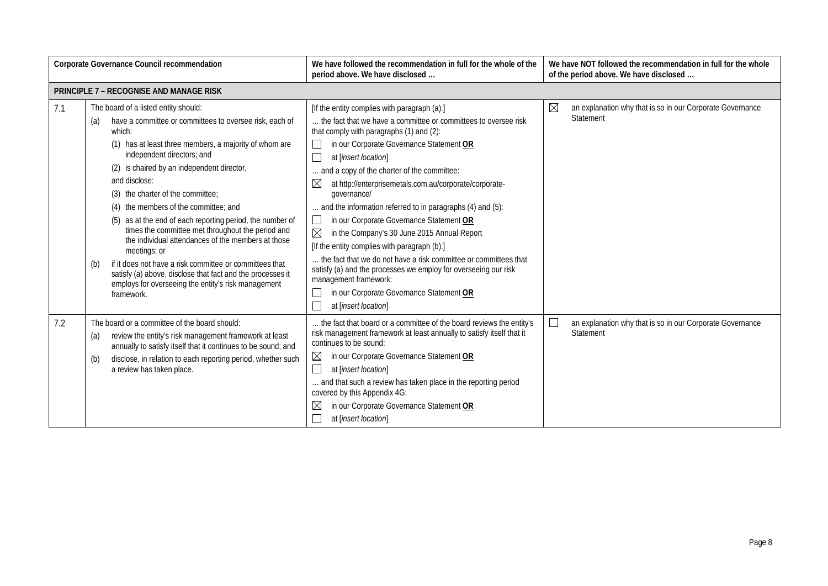| Corporate Governance Council recommendation |                                                                                                                                                                                                                                                                                                                                                                                                                                                                                                                                                                                                                                                                                                                                                    | We have followed the recommendation in full for the whole of the<br>period above. We have disclosed                                                                                                                                                                                                                                                                                                                                                                                                                                                                                                                                                                                                                                                                                                                                                  | We have NOT followed the recommendation in full for the whole<br>of the period above. We have disclosed |
|---------------------------------------------|----------------------------------------------------------------------------------------------------------------------------------------------------------------------------------------------------------------------------------------------------------------------------------------------------------------------------------------------------------------------------------------------------------------------------------------------------------------------------------------------------------------------------------------------------------------------------------------------------------------------------------------------------------------------------------------------------------------------------------------------------|------------------------------------------------------------------------------------------------------------------------------------------------------------------------------------------------------------------------------------------------------------------------------------------------------------------------------------------------------------------------------------------------------------------------------------------------------------------------------------------------------------------------------------------------------------------------------------------------------------------------------------------------------------------------------------------------------------------------------------------------------------------------------------------------------------------------------------------------------|---------------------------------------------------------------------------------------------------------|
|                                             | <b>PRINCIPLE 7 - RECOGNISE AND MANAGE RISK</b>                                                                                                                                                                                                                                                                                                                                                                                                                                                                                                                                                                                                                                                                                                     |                                                                                                                                                                                                                                                                                                                                                                                                                                                                                                                                                                                                                                                                                                                                                                                                                                                      |                                                                                                         |
| 7.1                                         | The board of a listed entity should:<br>have a committee or committees to oversee risk, each of<br>(a)<br>which:<br>(1) has at least three members, a majority of whom are<br>independent directors; and<br>(2) is chaired by an independent director,<br>and disclose:<br>(3) the charter of the committee;<br>(4) the members of the committee; and<br>(5) as at the end of each reporting period, the number of<br>times the committee met throughout the period and<br>the individual attendances of the members at those<br>meetings; or<br>if it does not have a risk committee or committees that<br>(b)<br>satisfy (a) above, disclose that fact and the processes it<br>employs for overseeing the entity's risk management<br>framework. | [If the entity complies with paragraph (a):]<br>the fact that we have a committee or committees to oversee risk<br>that comply with paragraphs (1) and (2):<br>in our Corporate Governance Statement OR<br>$\Box$<br>at [insert location]<br>and a copy of the charter of the committee:<br>at http://enterprisemetals.com.au/corporate/corporate-<br>$\bowtie$<br>qovernance/<br>and the information referred to in paragraphs (4) and (5):<br>in our Corporate Governance Statement OR<br>$\Box$<br>$\boxtimes$<br>in the Company's 30 June 2015 Annual Report<br>[If the entity complies with paragraph (b):]<br>the fact that we do not have a risk committee or committees that<br>satisfy (a) and the processes we employ for overseeing our risk<br>management framework:<br>in our Corporate Governance Statement OR<br>at [insert location] | $\boxtimes$<br>an explanation why that is so in our Corporate Governance<br>Statement                   |
| 7.2                                         | The board or a committee of the board should:<br>review the entity's risk management framework at least<br>(a)<br>annually to satisfy itself that it continues to be sound; and<br>disclose, in relation to each reporting period, whether such<br>(b)<br>a review has taken place.                                                                                                                                                                                                                                                                                                                                                                                                                                                                | the fact that board or a committee of the board reviews the entity's<br>risk management framework at least annually to satisfy itself that it<br>continues to be sound:<br>in our Corporate Governance Statement OR<br>⊠<br>at [insert location]<br>$\vert \ \ \vert$<br>and that such a review has taken place in the reporting period<br>covered by this Appendix 4G:<br>in our Corporate Governance Statement OR<br>⊠<br>at [insert location]                                                                                                                                                                                                                                                                                                                                                                                                     | $\Box$<br>an explanation why that is so in our Corporate Governance<br>Statement                        |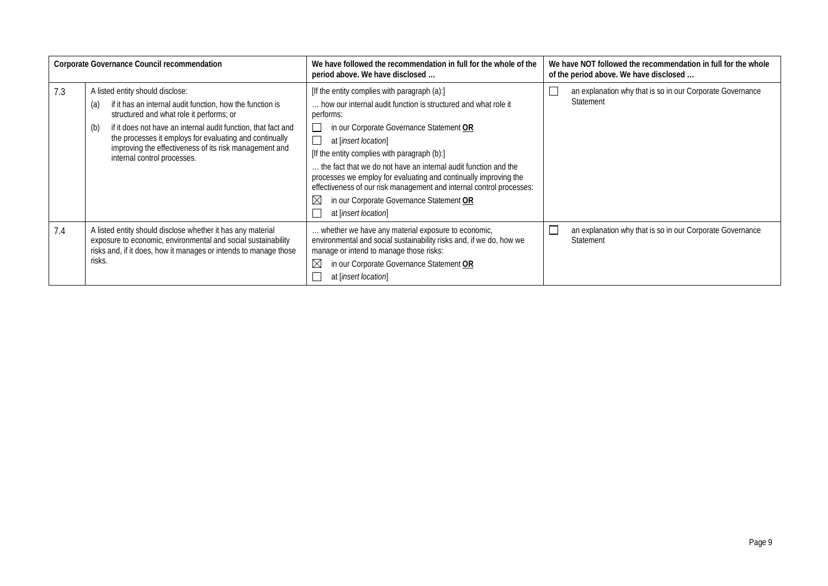| Corporate Governance Council recommendation |                                                                                                                                                                                                                                                                                                                                                                              | We have followed the recommendation in full for the whole of the<br>We have NOT followed the recommendation in full for the whole<br>of the period above. We have disclosed<br>period above. We have disclosed                                                                                                                                                                                                                                                                                                                                    |                                                                                        |
|---------------------------------------------|------------------------------------------------------------------------------------------------------------------------------------------------------------------------------------------------------------------------------------------------------------------------------------------------------------------------------------------------------------------------------|---------------------------------------------------------------------------------------------------------------------------------------------------------------------------------------------------------------------------------------------------------------------------------------------------------------------------------------------------------------------------------------------------------------------------------------------------------------------------------------------------------------------------------------------------|----------------------------------------------------------------------------------------|
| 7.3                                         | A listed entity should disclose:<br>if it has an internal audit function, how the function is<br>(a)<br>structured and what role it performs; or<br>if it does not have an internal audit function, that fact and<br>(b)<br>the processes it employs for evaluating and continually<br>improving the effectiveness of its risk management and<br>internal control processes. | [If the entity complies with paragraph (a):]<br>how our internal audit function is structured and what role it<br>performs:<br>in our Corporate Governance Statement OR<br>at [insert location]<br>[If the entity complies with paragraph (b):]<br>the fact that we do not have an internal audit function and the<br>processes we employ for evaluating and continually improving the<br>effectiveness of our risk management and internal control processes:<br>$\boxtimes$<br>in our Corporate Governance Statement OR<br>at [insert location] | an explanation why that is so in our Corporate Governance<br>Statement                 |
| 7.4                                         | A listed entity should disclose whether it has any material<br>exposure to economic, environmental and social sustainability<br>risks and, if it does, how it manages or intends to manage those<br>risks.                                                                                                                                                                   | whether we have any material exposure to economic,<br>environmental and social sustainability risks and, if we do, how we<br>manage or intend to manage those risks:<br>$\boxtimes$<br>in our Corporate Governance Statement OR<br>at [insert location]                                                                                                                                                                                                                                                                                           | an explanation why that is so in our Corporate Governance<br>$\mathsf{L}$<br>Statement |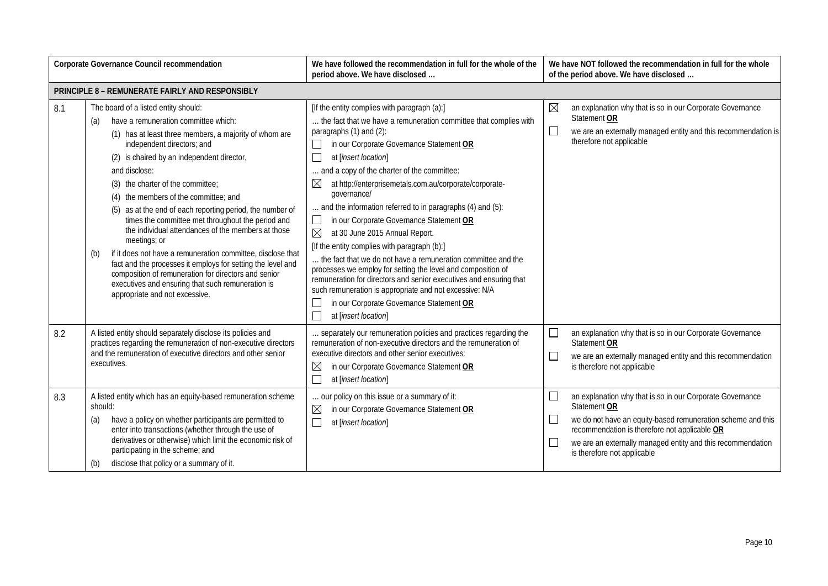| <b>Corporate Governance Council recommendation</b> |                                                                                                                                                                                                                                                                                                                                                                                                                                                                                                                                                                                                                                                                                                                                                                                                      | We have followed the recommendation in full for the whole of the<br>period above. We have disclosed                                                                                                                                                                                                                                                                                                                                                                                                                                                                                                                                                                                                                                                                                                                                                                                                                | We have NOT followed the recommendation in full for the whole<br>of the period above. We have disclosed                                                                                                                                                                                                                           |  |
|----------------------------------------------------|------------------------------------------------------------------------------------------------------------------------------------------------------------------------------------------------------------------------------------------------------------------------------------------------------------------------------------------------------------------------------------------------------------------------------------------------------------------------------------------------------------------------------------------------------------------------------------------------------------------------------------------------------------------------------------------------------------------------------------------------------------------------------------------------------|--------------------------------------------------------------------------------------------------------------------------------------------------------------------------------------------------------------------------------------------------------------------------------------------------------------------------------------------------------------------------------------------------------------------------------------------------------------------------------------------------------------------------------------------------------------------------------------------------------------------------------------------------------------------------------------------------------------------------------------------------------------------------------------------------------------------------------------------------------------------------------------------------------------------|-----------------------------------------------------------------------------------------------------------------------------------------------------------------------------------------------------------------------------------------------------------------------------------------------------------------------------------|--|
|                                                    | <b>PRINCIPLE 8 - REMUNERATE FAIRLY AND RESPONSIBLY</b>                                                                                                                                                                                                                                                                                                                                                                                                                                                                                                                                                                                                                                                                                                                                               |                                                                                                                                                                                                                                                                                                                                                                                                                                                                                                                                                                                                                                                                                                                                                                                                                                                                                                                    |                                                                                                                                                                                                                                                                                                                                   |  |
| 8.1                                                | The board of a listed entity should:<br>have a remuneration committee which:<br>(a)<br>(1) has at least three members, a majority of whom are<br>independent directors; and<br>(2) is chaired by an independent director,<br>and disclose:<br>(3) the charter of the committee;<br>(4) the members of the committee; and<br>(5) as at the end of each reporting period, the number of<br>times the committee met throughout the period and<br>the individual attendances of the members at those<br>meetings; or<br>if it does not have a remuneration committee, disclose that<br>(b)<br>fact and the processes it employs for setting the level and<br>composition of remuneration for directors and senior<br>executives and ensuring that such remuneration is<br>appropriate and not excessive. | [If the entity complies with paragraph (a):]<br>the fact that we have a remuneration committee that complies with<br>paragraphs (1) and (2):<br>in our Corporate Governance Statement OR<br>at [insert location]<br>and a copy of the charter of the committee:<br>$\boxtimes$<br>at http://enterprisemetals.com.au/corporate/corporate-<br>qovernance/<br>and the information referred to in paragraphs (4) and (5):<br>in our Corporate Governance Statement OR<br>$\Box$<br>$\boxtimes$<br>at 30 June 2015 Annual Report.<br>[If the entity complies with paragraph (b):]<br>the fact that we do not have a remuneration committee and the<br>processes we employ for setting the level and composition of<br>remuneration for directors and senior executives and ensuring that<br>such remuneration is appropriate and not excessive: N/A<br>in our Corporate Governance Statement OR<br>at [insert location] | $\boxtimes$<br>an explanation why that is so in our Corporate Governance<br>Statement OR<br>$\Box$<br>we are an externally managed entity and this recommendation is<br>therefore not applicable                                                                                                                                  |  |
| 8.2                                                | A listed entity should separately disclose its policies and<br>practices regarding the remuneration of non-executive directors<br>and the remuneration of executive directors and other senior<br>executives.                                                                                                                                                                                                                                                                                                                                                                                                                                                                                                                                                                                        | separately our remuneration policies and practices regarding the<br>remuneration of non-executive directors and the remuneration of<br>executive directors and other senior executives:<br>$\boxtimes$<br>in our Corporate Governance Statement OR<br>at [insert location]                                                                                                                                                                                                                                                                                                                                                                                                                                                                                                                                                                                                                                         | $\Box$<br>an explanation why that is so in our Corporate Governance<br>Statement OR<br>we are an externally managed entity and this recommendation<br>$\Box$<br>is therefore not applicable                                                                                                                                       |  |
| 8.3                                                | A listed entity which has an equity-based remuneration scheme<br>should:<br>have a policy on whether participants are permitted to<br>(a)<br>enter into transactions (whether through the use of<br>derivatives or otherwise) which limit the economic risk of<br>participating in the scheme; and<br>disclose that policy or a summary of it.<br>(b)                                                                                                                                                                                                                                                                                                                                                                                                                                                | our policy on this issue or a summary of it:<br>$\boxtimes$<br>in our Corporate Governance Statement OR<br>$\Box$<br>at [insert location]                                                                                                                                                                                                                                                                                                                                                                                                                                                                                                                                                                                                                                                                                                                                                                          | $\Box$<br>an explanation why that is so in our Corporate Governance<br>Statement OR<br>we do not have an equity-based remuneration scheme and this<br>$\mathbf{L}$<br>recommendation is therefore not applicable OR<br>$\mathbf{L}$<br>we are an externally managed entity and this recommendation<br>is therefore not applicable |  |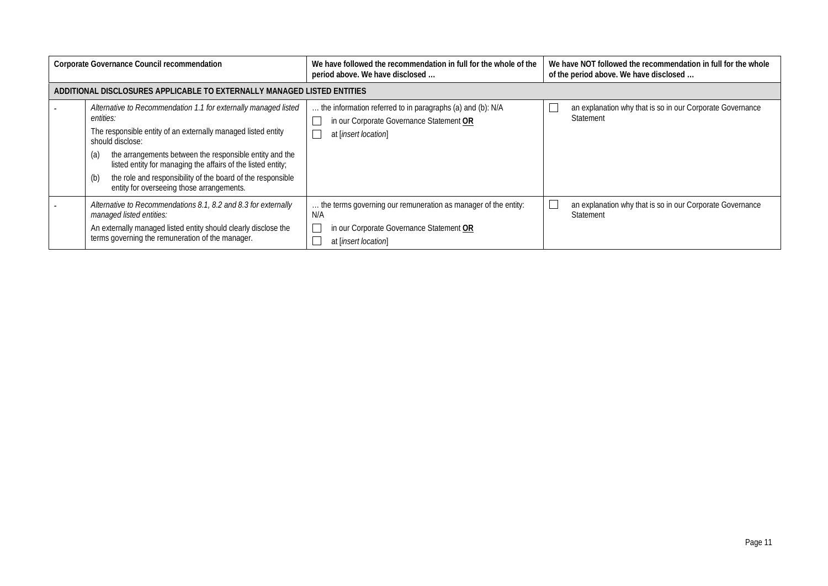| <b>Corporate Governance Council recommendation</b> |                                                                                                                                                                                                                                                                                                                                                                                                                        | We have followed the recommendation in full for the whole of the<br>period above. We have disclosed                                       | We have NOT followed the recommendation in full for the whole<br>of the period above. We have disclosed |
|----------------------------------------------------|------------------------------------------------------------------------------------------------------------------------------------------------------------------------------------------------------------------------------------------------------------------------------------------------------------------------------------------------------------------------------------------------------------------------|-------------------------------------------------------------------------------------------------------------------------------------------|---------------------------------------------------------------------------------------------------------|
|                                                    | ADDITIONAL DISCLOSURES APPLICABLE TO EXTERNALLY MANAGED LISTED ENTITIES                                                                                                                                                                                                                                                                                                                                                |                                                                                                                                           |                                                                                                         |
|                                                    | Alternative to Recommendation 1.1 for externally managed listed<br>entities:<br>The responsible entity of an externally managed listed entity<br>should disclose:<br>the arrangements between the responsible entity and the<br>(a)<br>listed entity for managing the affairs of the listed entity;<br>the role and responsibility of the board of the responsible<br>(b)<br>entity for overseeing those arrangements. | the information referred to in paragraphs (a) and (b): N/A<br>in our Corporate Governance Statement OR<br>at [insert location]            | an explanation why that is so in our Corporate Governance<br>Statement                                  |
|                                                    | Alternative to Recommendations 8.1, 8.2 and 8.3 for externally<br>managed listed entities:<br>An externally managed listed entity should clearly disclose the<br>terms governing the remuneration of the manager.                                                                                                                                                                                                      | the terms governing our remuneration as manager of the entity:<br>N/A<br>in our Corporate Governance Statement OR<br>at [insert location] | an explanation why that is so in our Corporate Governance<br>Statement                                  |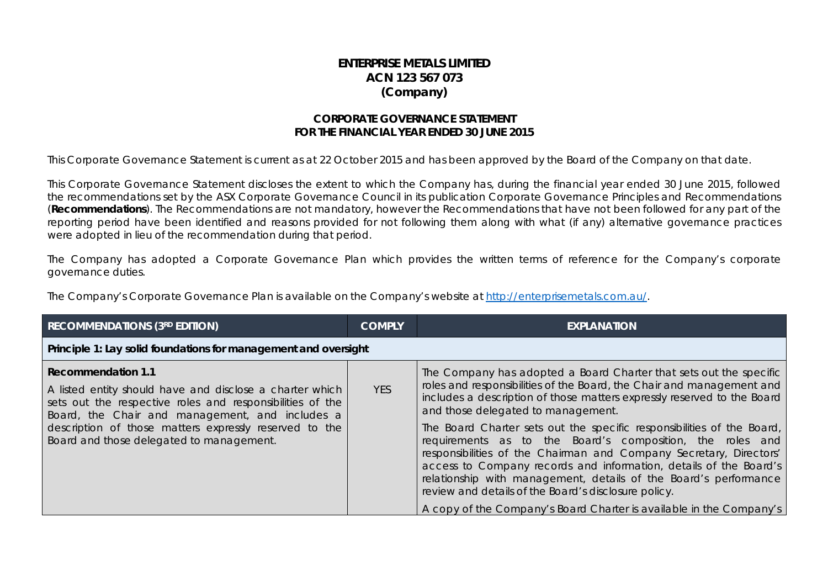### **ENTERPRISE METALS LIMITED ACN 123 567 073 (Company)**

#### **CORPORATE GOVERNANCE STATEMENT FOR THE FINANCIAL YEAR ENDED 30 JUNE 2015**

This Corporate Governance Statement is current as at 22 October 2015 and has been approved by the Board of the Company on that date.

This Corporate Governance Statement discloses the extent to which the Company has, during the financial year ended 30 June 2015, followed the recommendations set by the ASX Corporate Governance Council in its publication Corporate Governance Principles and Recommendations (**Recommendations**). The Recommendations are not mandatory, however the Recommendations that have not been followed for any part of the reporting period have been identified and reasons provided for not following them along with what (if any) alternative governance practices were adopted in lieu of the recommendation during that period.

The Company has adopted a Corporate Governance Plan which provides the written terms of reference for the Company's corporate governance duties.

The Company's Corporate Governance Plan is available on the Company's website at [http://enterprisemetals.com.au/.](http://enterprisemetals.com.au/)

| <b>RECOMMENDATIONS (3RD EDITION)</b>                                                                                                                                                                                                                                                                        | <b>COMPLY</b> | <b>EXPLANATION</b>                                                                                                                                                                                                                                                                                                                                                                                                                                                                                                                                                                                                                                                                                                                                |
|-------------------------------------------------------------------------------------------------------------------------------------------------------------------------------------------------------------------------------------------------------------------------------------------------------------|---------------|---------------------------------------------------------------------------------------------------------------------------------------------------------------------------------------------------------------------------------------------------------------------------------------------------------------------------------------------------------------------------------------------------------------------------------------------------------------------------------------------------------------------------------------------------------------------------------------------------------------------------------------------------------------------------------------------------------------------------------------------------|
| Principle 1: Lay solid foundations for management and oversight                                                                                                                                                                                                                                             |               |                                                                                                                                                                                                                                                                                                                                                                                                                                                                                                                                                                                                                                                                                                                                                   |
| <b>Recommendation 1.1</b><br>A listed entity should have and disclose a charter which<br>sets out the respective roles and responsibilities of the<br>Board, the Chair and management, and includes a<br>description of those matters expressly reserved to the<br>Board and those delegated to management. | <b>YES</b>    | The Company has adopted a Board Charter that sets out the specific<br>roles and responsibilities of the Board, the Chair and management and<br>includes a description of those matters expressly reserved to the Board<br>and those delegated to management.<br>The Board Charter sets out the specific responsibilities of the Board,<br>requirements as to the Board's composition, the roles and<br>responsibilities of the Chairman and Company Secretary, Directors'<br>access to Company records and information, details of the Board's<br>relationship with management, details of the Board's performance<br>review and details of the Board's disclosure policy.<br>A copy of the Company's Board Charter is available in the Company's |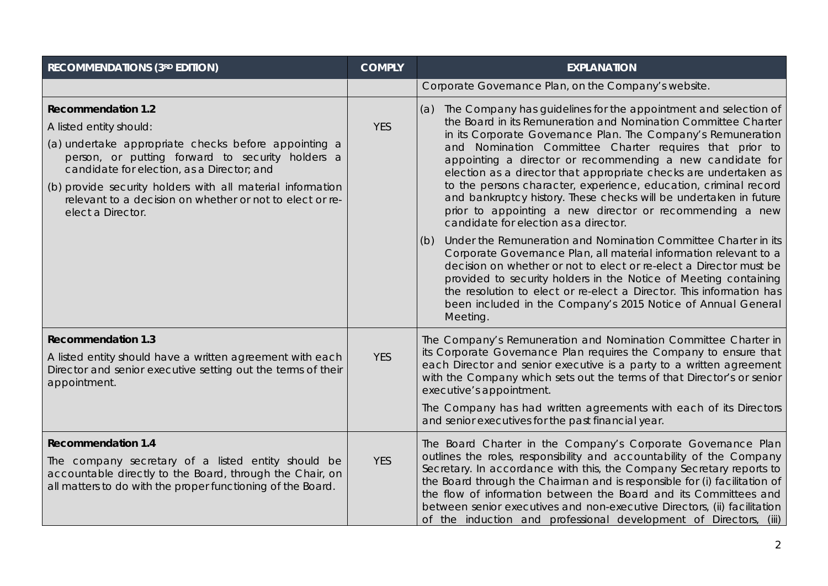| <b>RECOMMENDATIONS (3RD EDITION)</b>                                                                                                                                                                                                                                                                                                                          | <b>COMPLY</b> | <b>EXPLANATION</b>                                                                                                                                                                                                                                                                                                                                                                                                                                                                                                                                                                                                                              |
|---------------------------------------------------------------------------------------------------------------------------------------------------------------------------------------------------------------------------------------------------------------------------------------------------------------------------------------------------------------|---------------|-------------------------------------------------------------------------------------------------------------------------------------------------------------------------------------------------------------------------------------------------------------------------------------------------------------------------------------------------------------------------------------------------------------------------------------------------------------------------------------------------------------------------------------------------------------------------------------------------------------------------------------------------|
|                                                                                                                                                                                                                                                                                                                                                               |               | Corporate Governance Plan, on the Company's website.                                                                                                                                                                                                                                                                                                                                                                                                                                                                                                                                                                                            |
| <b>Recommendation 1.2</b><br>A listed entity should:<br>(a) undertake appropriate checks before appointing a<br>person, or putting forward to security holders a<br>candidate for election, as a Director; and<br>(b) provide security holders with all material information<br>relevant to a decision on whether or not to elect or re-<br>elect a Director. | <b>YES</b>    | (a) The Company has guidelines for the appointment and selection of<br>the Board in its Remuneration and Nomination Committee Charter<br>in its Corporate Governance Plan. The Company's Remuneration<br>and Nomination Committee Charter requires that prior to<br>appointing a director or recommending a new candidate for<br>election as a director that appropriate checks are undertaken as<br>to the persons character, experience, education, criminal record<br>and bankruptcy history. These checks will be undertaken in future<br>prior to appointing a new director or recommending a new<br>candidate for election as a director. |
|                                                                                                                                                                                                                                                                                                                                                               |               | Under the Remuneration and Nomination Committee Charter in its<br>(b)<br>Corporate Governance Plan, all material information relevant to a<br>decision on whether or not to elect or re-elect a Director must be<br>provided to security holders in the Notice of Meeting containing<br>the resolution to elect or re-elect a Director. This information has<br>been included in the Company's 2015 Notice of Annual General<br>Meeting.                                                                                                                                                                                                        |
| <b>Recommendation 1.3</b><br>A listed entity should have a written agreement with each<br>Director and senior executive setting out the terms of their<br>appointment.                                                                                                                                                                                        | <b>YES</b>    | The Company's Remuneration and Nomination Committee Charter in<br>its Corporate Governance Plan requires the Company to ensure that<br>each Director and senior executive is a party to a written agreement<br>with the Company which sets out the terms of that Director's or senior<br>executive's appointment.<br>The Company has had written agreements with each of its Directors<br>and senior executives for the past financial year.                                                                                                                                                                                                    |
| <b>Recommendation 1.4</b><br>The company secretary of a listed entity should be<br>accountable directly to the Board, through the Chair, on<br>all matters to do with the proper functioning of the Board.                                                                                                                                                    | <b>YES</b>    | The Board Charter in the Company's Corporate Governance Plan<br>outlines the roles, responsibility and accountability of the Company<br>Secretary. In accordance with this, the Company Secretary reports to<br>the Board through the Chairman and is responsible for (i) facilitation of<br>the flow of information between the Board and its Committees and<br>between senior executives and non-executive Directors, (ii) facilitation<br>of the induction and professional development of Directors, (iii)                                                                                                                                  |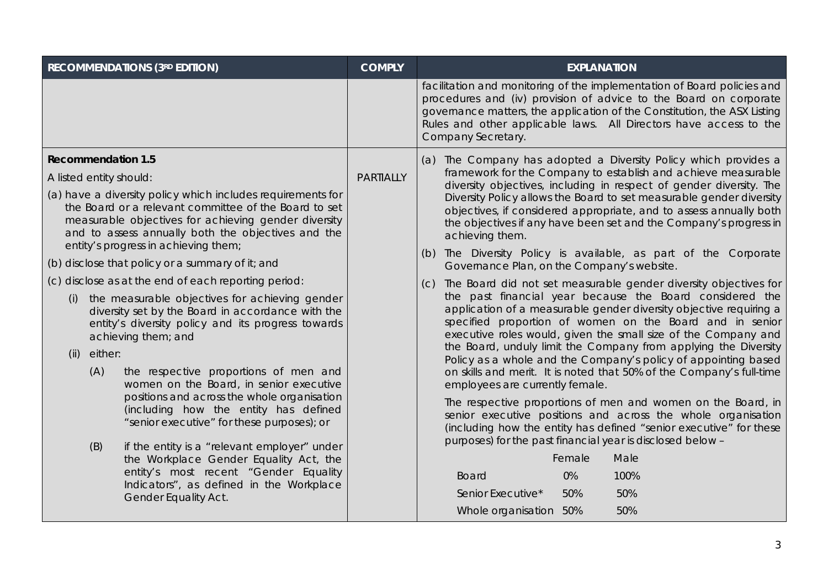| <b>RECOMMENDATIONS (3RD EDITION)</b>                                                                                                                                                                                                                                       | <b>COMPLY</b>    | <b>EXPLANATION</b>                                                                                                                                                                                                                                                                                                  |                                                                                                                                                                                                                                                              |
|----------------------------------------------------------------------------------------------------------------------------------------------------------------------------------------------------------------------------------------------------------------------------|------------------|---------------------------------------------------------------------------------------------------------------------------------------------------------------------------------------------------------------------------------------------------------------------------------------------------------------------|--------------------------------------------------------------------------------------------------------------------------------------------------------------------------------------------------------------------------------------------------------------|
|                                                                                                                                                                                                                                                                            |                  | facilitation and monitoring of the implementation of Board policies and<br>procedures and (iv) provision of advice to the Board on corporate<br>governance matters, the application of the Constitution, the ASX Listing<br>Rules and other applicable laws. All Directors have access to the<br>Company Secretary. |                                                                                                                                                                                                                                                              |
| <b>Recommendation 1.5</b>                                                                                                                                                                                                                                                  |                  | (a) The Company has adopted a Diversity Policy which provides a                                                                                                                                                                                                                                                     |                                                                                                                                                                                                                                                              |
| A listed entity should:                                                                                                                                                                                                                                                    | <b>PARTIALLY</b> | framework for the Company to establish and achieve measurable<br>diversity objectives, including in respect of gender diversity. The                                                                                                                                                                                |                                                                                                                                                                                                                                                              |
| (a) have a diversity policy which includes requirements for<br>the Board or a relevant committee of the Board to set<br>measurable objectives for achieving gender diversity<br>and to assess annually both the objectives and the<br>entity's progress in achieving them; |                  | Diversity Policy allows the Board to set measurable gender diversity<br>objectives, if considered appropriate, and to assess annually both<br>the objectives if any have been set and the Company's progress in<br>achieving them.                                                                                  |                                                                                                                                                                                                                                                              |
| (b) disclose that policy or a summary of it; and                                                                                                                                                                                                                           |                  | (b) The Diversity Policy is available, as part of the Corporate<br>Governance Plan, on the Company's website.                                                                                                                                                                                                       |                                                                                                                                                                                                                                                              |
| (c) disclose as at the end of each reporting period:                                                                                                                                                                                                                       |                  | The Board did not set measurable gender diversity objectives for<br>(C)                                                                                                                                                                                                                                             |                                                                                                                                                                                                                                                              |
| the measurable objectives for achieving gender<br>(i)<br>diversity set by the Board in accordance with the<br>entity's diversity policy and its progress towards<br>achieving them; and                                                                                    |                  |                                                                                                                                                                                                                                                                                                                     | the past financial year because the Board considered the<br>application of a measurable gender diversity objective requiring a<br>specified proportion of women on the Board and in senior<br>executive roles would, given the small size of the Company and |
| either:<br>(ii)                                                                                                                                                                                                                                                            |                  | the Board, unduly limit the Company from applying the Diversity<br>Policy as a whole and the Company's policy of appointing based                                                                                                                                                                                   |                                                                                                                                                                                                                                                              |
| (A)<br>the respective proportions of men and<br>women on the Board, in senior executive                                                                                                                                                                                    |                  | on skills and merit. It is noted that 50% of the Company's full-time<br>employees are currently female.                                                                                                                                                                                                             |                                                                                                                                                                                                                                                              |
| positions and across the whole organisation<br>(including how the entity has defined<br>"senior executive" for these purposes); or                                                                                                                                         |                  | The respective proportions of men and women on the Board, in<br>senior executive positions and across the whole organisation<br>(including how the entity has defined "senior executive" for these                                                                                                                  |                                                                                                                                                                                                                                                              |
| (B)<br>if the entity is a "relevant employer" under                                                                                                                                                                                                                        |                  | purposes) for the past financial year is disclosed below -<br>Female<br>Male                                                                                                                                                                                                                                        |                                                                                                                                                                                                                                                              |
| the Workplace Gender Equality Act, the<br>entity's most recent "Gender Equality                                                                                                                                                                                            |                  |                                                                                                                                                                                                                                                                                                                     |                                                                                                                                                                                                                                                              |
| Indicators", as defined in the Workplace                                                                                                                                                                                                                                   |                  | 0%<br>100%<br><b>Board</b><br>50%<br>Senior Executive*<br>50%                                                                                                                                                                                                                                                       |                                                                                                                                                                                                                                                              |
| Gender Equality Act.                                                                                                                                                                                                                                                       |                  | 50%                                                                                                                                                                                                                                                                                                                 |                                                                                                                                                                                                                                                              |
|                                                                                                                                                                                                                                                                            |                  | Whole organisation 50%                                                                                                                                                                                                                                                                                              |                                                                                                                                                                                                                                                              |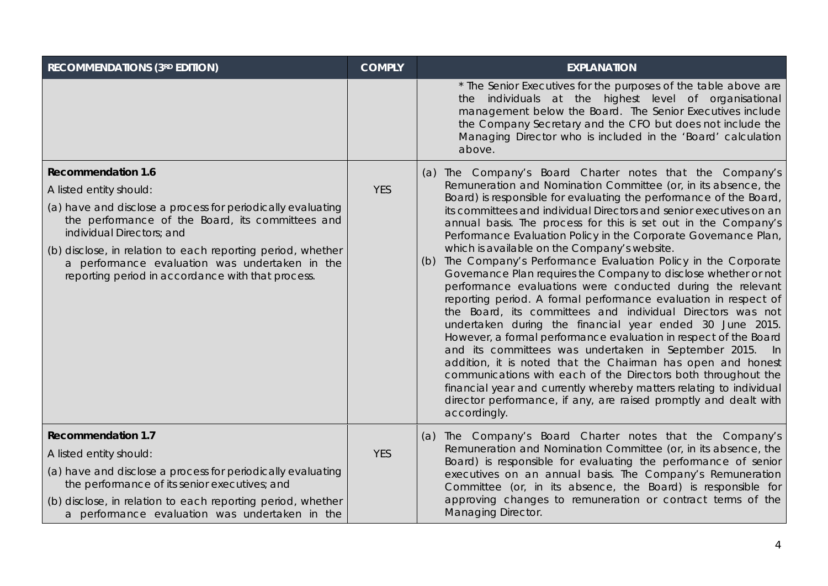| <b>RECOMMENDATIONS (3RD EDITION)</b>                                                                                                                                                                                                                                                                                                                                       | <b>COMPLY</b> | <b>EXPLANATION</b>                                                                                                                                                                                                                                                                                                                                                                                                                                                                                                                                                                                                                                                                                                                                                                                                                                                                                                                                                                                                                                                                                                                                                                                                                                                                              |
|----------------------------------------------------------------------------------------------------------------------------------------------------------------------------------------------------------------------------------------------------------------------------------------------------------------------------------------------------------------------------|---------------|-------------------------------------------------------------------------------------------------------------------------------------------------------------------------------------------------------------------------------------------------------------------------------------------------------------------------------------------------------------------------------------------------------------------------------------------------------------------------------------------------------------------------------------------------------------------------------------------------------------------------------------------------------------------------------------------------------------------------------------------------------------------------------------------------------------------------------------------------------------------------------------------------------------------------------------------------------------------------------------------------------------------------------------------------------------------------------------------------------------------------------------------------------------------------------------------------------------------------------------------------------------------------------------------------|
|                                                                                                                                                                                                                                                                                                                                                                            |               | * The Senior Executives for the purposes of the table above are<br>the individuals at the highest level of organisational<br>management below the Board. The Senior Executives include<br>the Company Secretary and the CFO but does not include the<br>Managing Director who is included in the 'Board' calculation<br>above.                                                                                                                                                                                                                                                                                                                                                                                                                                                                                                                                                                                                                                                                                                                                                                                                                                                                                                                                                                  |
| <b>Recommendation 1.6</b><br>A listed entity should:<br>(a) have and disclose a process for periodically evaluating<br>the performance of the Board, its committees and<br>individual Directors; and<br>(b) disclose, in relation to each reporting period, whether<br>a performance evaluation was undertaken in the<br>reporting period in accordance with that process. | <b>YES</b>    | (a) The Company's Board Charter notes that the Company's<br>Remuneration and Nomination Committee (or, in its absence, the<br>Board) is responsible for evaluating the performance of the Board,<br>its committees and individual Directors and senior executives on an<br>annual basis. The process for this is set out in the Company's<br>Performance Evaluation Policy in the Corporate Governance Plan,<br>which is available on the Company's website.<br>The Company's Performance Evaluation Policy in the Corporate<br>(b)<br>Governance Plan requires the Company to disclose whether or not<br>performance evaluations were conducted during the relevant<br>reporting period. A formal performance evaluation in respect of<br>the Board, its committees and individual Directors was not<br>undertaken during the financial year ended 30 June 2015.<br>However, a formal performance evaluation in respect of the Board<br>and its committees was undertaken in September 2015.<br>ln.<br>addition, it is noted that the Chairman has open and honest<br>communications with each of the Directors both throughout the<br>financial year and currently whereby matters relating to individual<br>director performance, if any, are raised promptly and dealt with<br>accordingly. |
| <b>Recommendation 1.7</b><br>A listed entity should:<br>(a) have and disclose a process for periodically evaluating<br>the performance of its senior executives; and<br>(b) disclose, in relation to each reporting period, whether<br>a performance evaluation was undertaken in the                                                                                      | <b>YES</b>    | (a) The Company's Board Charter notes that the Company's<br>Remuneration and Nomination Committee (or, in its absence, the<br>Board) is responsible for evaluating the performance of senior<br>executives on an annual basis. The Company's Remuneration<br>Committee (or, in its absence, the Board) is responsible for<br>approving changes to remuneration or contract terms of the<br>Managing Director.                                                                                                                                                                                                                                                                                                                                                                                                                                                                                                                                                                                                                                                                                                                                                                                                                                                                                   |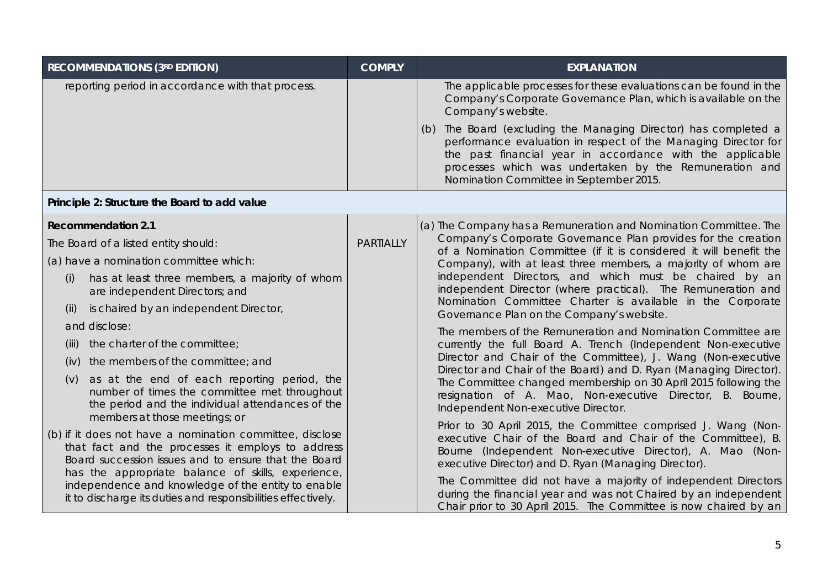| <b>RECOMMENDATIONS (3RD EDITION)</b>                                                                                                                                                                                        | <b>COMPLY</b>    | <b>EXPLANATION</b>                                                                                                                                                                                                                                                                                                             |
|-----------------------------------------------------------------------------------------------------------------------------------------------------------------------------------------------------------------------------|------------------|--------------------------------------------------------------------------------------------------------------------------------------------------------------------------------------------------------------------------------------------------------------------------------------------------------------------------------|
| reporting period in accordance with that process.                                                                                                                                                                           |                  | The applicable processes for these evaluations can be found in the<br>Company's Corporate Governance Plan, which is available on the<br>Company's website.                                                                                                                                                                     |
|                                                                                                                                                                                                                             |                  | (b) The Board (excluding the Managing Director) has completed a<br>performance evaluation in respect of the Managing Director for<br>the past financial year in accordance with the applicable<br>processes which was undertaken by the Remuneration and<br>Nomination Committee in September 2015.                            |
| Principle 2: Structure the Board to add value                                                                                                                                                                               |                  |                                                                                                                                                                                                                                                                                                                                |
| <b>Recommendation 2.1</b>                                                                                                                                                                                                   |                  | (a) The Company has a Remuneration and Nomination Committee. The                                                                                                                                                                                                                                                               |
| The Board of a listed entity should:                                                                                                                                                                                        | <b>PARTIALLY</b> | Company's Corporate Governance Plan provides for the creation<br>of a Nomination Committee (if it is considered it will benefit the<br>Company), with at least three members, a majority of whom are<br>independent Directors, and which must be chaired by an<br>independent Director (where practical). The Remuneration and |
| (a) have a nomination committee which:                                                                                                                                                                                      |                  |                                                                                                                                                                                                                                                                                                                                |
| has at least three members, a majority of whom<br>(i)<br>are independent Directors; and                                                                                                                                     |                  |                                                                                                                                                                                                                                                                                                                                |
| is chaired by an independent Director,<br>(ii)                                                                                                                                                                              |                  | Nomination Committee Charter is available in the Corporate<br>Governance Plan on the Company's website.                                                                                                                                                                                                                        |
| and disclose:                                                                                                                                                                                                               |                  | The members of the Remuneration and Nomination Committee are<br>currently the full Board A. Trench (Independent Non-executive                                                                                                                                                                                                  |
| the charter of the committee;<br>(iii)                                                                                                                                                                                      |                  |                                                                                                                                                                                                                                                                                                                                |
| the members of the committee; and<br>(iv)                                                                                                                                                                                   |                  | Director and Chair of the Committee), J. Wang (Non-executive<br>Director and Chair of the Board) and D. Ryan (Managing Director).                                                                                                                                                                                              |
| as at the end of each reporting period, the<br>(v)<br>number of times the committee met throughout<br>the period and the individual attendances of the<br>members at those meetings; or                                     |                  | The Committee changed membership on 30 April 2015 following the<br>resignation of A. Mao, Non-executive Director, B. Bourne,<br>Independent Non-executive Director.                                                                                                                                                            |
| (b) if it does not have a nomination committee, disclose<br>that fact and the processes it employs to address<br>Board succession issues and to ensure that the Board<br>has the appropriate balance of skills, experience, |                  | Prior to 30 April 2015, the Committee comprised J. Wang (Non-<br>executive Chair of the Board and Chair of the Committee), B.<br>Bourne (Independent Non-executive Director), A. Mao (Non-<br>executive Director) and D. Ryan (Managing Director).                                                                             |
| independence and knowledge of the entity to enable<br>it to discharge its duties and responsibilities effectively.                                                                                                          |                  | The Committee did not have a majority of independent Directors<br>during the financial year and was not Chaired by an independent<br>Chair prior to 30 April 2015. The Committee is now chaired by an                                                                                                                          |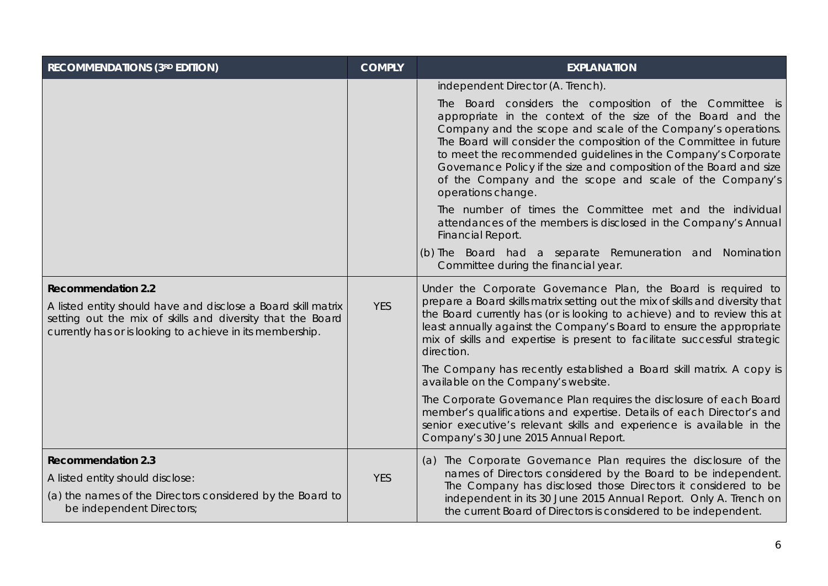| <b>RECOMMENDATIONS (3RD EDITION)</b>                                                                                                                                                                                  | <b>COMPLY</b> | <b>EXPLANATION</b>                                                                                                                                                                                                                                                                                                                                                                                                                                                                    |
|-----------------------------------------------------------------------------------------------------------------------------------------------------------------------------------------------------------------------|---------------|---------------------------------------------------------------------------------------------------------------------------------------------------------------------------------------------------------------------------------------------------------------------------------------------------------------------------------------------------------------------------------------------------------------------------------------------------------------------------------------|
|                                                                                                                                                                                                                       |               | independent Director (A. Trench).                                                                                                                                                                                                                                                                                                                                                                                                                                                     |
|                                                                                                                                                                                                                       |               | The Board considers the composition of the Committee is<br>appropriate in the context of the size of the Board and the<br>Company and the scope and scale of the Company's operations.<br>The Board will consider the composition of the Committee in future<br>to meet the recommended guidelines in the Company's Corporate<br>Governance Policy if the size and composition of the Board and size<br>of the Company and the scope and scale of the Company's<br>operations change. |
|                                                                                                                                                                                                                       |               | The number of times the Committee met and the individual<br>attendances of the members is disclosed in the Company's Annual<br>Financial Report.                                                                                                                                                                                                                                                                                                                                      |
|                                                                                                                                                                                                                       |               | (b) The Board had a separate Remuneration and Nomination<br>Committee during the financial year.                                                                                                                                                                                                                                                                                                                                                                                      |
| <b>Recommendation 2.2</b><br>A listed entity should have and disclose a Board skill matrix<br>setting out the mix of skills and diversity that the Board<br>currently has or is looking to achieve in its membership. | <b>YES</b>    | Under the Corporate Governance Plan, the Board is required to<br>prepare a Board skills matrix setting out the mix of skills and diversity that<br>the Board currently has (or is looking to achieve) and to review this at<br>least annually against the Company's Board to ensure the appropriate<br>mix of skills and expertise is present to facilitate successful strategic<br>direction.                                                                                        |
|                                                                                                                                                                                                                       |               | The Company has recently established a Board skill matrix. A copy is<br>available on the Company's website.                                                                                                                                                                                                                                                                                                                                                                           |
|                                                                                                                                                                                                                       |               | The Corporate Governance Plan requires the disclosure of each Board<br>member's qualifications and expertise. Details of each Director's and<br>senior executive's relevant skills and experience is available in the<br>Company's 30 June 2015 Annual Report.                                                                                                                                                                                                                        |
| <b>Recommendation 2.3</b><br>A listed entity should disclose:<br>(a) the names of the Directors considered by the Board to<br>be independent Directors;                                                               | <b>YES</b>    | (a) The Corporate Governance Plan requires the disclosure of the<br>names of Directors considered by the Board to be independent.<br>The Company has disclosed those Directors it considered to be<br>independent in its 30 June 2015 Annual Report. Only A. Trench on<br>the current Board of Directors is considered to be independent.                                                                                                                                             |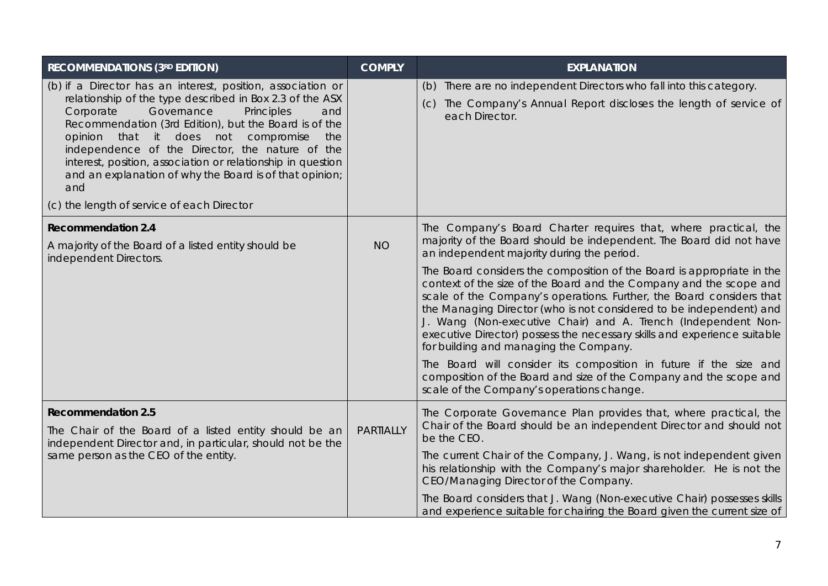| <b>RECOMMENDATIONS (3RD EDITION)</b>                                                                                                                                                                                                                                                                                                                                                                                                                                                                             | <b>COMPLY</b>    | <b>EXPLANATION</b>                                                                                                                                                                                                                                                                                                                                                                                                                                                                 |
|------------------------------------------------------------------------------------------------------------------------------------------------------------------------------------------------------------------------------------------------------------------------------------------------------------------------------------------------------------------------------------------------------------------------------------------------------------------------------------------------------------------|------------------|------------------------------------------------------------------------------------------------------------------------------------------------------------------------------------------------------------------------------------------------------------------------------------------------------------------------------------------------------------------------------------------------------------------------------------------------------------------------------------|
| (b) if a Director has an interest, position, association or<br>relationship of the type described in Box 2.3 of the ASX<br>Governance<br>Corporate<br>Principles<br>and<br>Recommendation (3rd Edition), but the Board is of the<br>opinion that it does not compromise<br>the<br>independence of the Director, the nature of the<br>interest, position, association or relationship in question<br>and an explanation of why the Board is of that opinion;<br>and<br>(c) the length of service of each Director |                  | (b) There are no independent Directors who fall into this category.<br>The Company's Annual Report discloses the length of service of<br>(C)<br>each Director.                                                                                                                                                                                                                                                                                                                     |
| <b>Recommendation 2.4</b><br>A majority of the Board of a listed entity should be<br>independent Directors.                                                                                                                                                                                                                                                                                                                                                                                                      | <b>NO</b>        | The Company's Board Charter requires that, where practical, the<br>majority of the Board should be independent. The Board did not have<br>an independent majority during the period.                                                                                                                                                                                                                                                                                               |
|                                                                                                                                                                                                                                                                                                                                                                                                                                                                                                                  |                  | The Board considers the composition of the Board is appropriate in the<br>context of the size of the Board and the Company and the scope and<br>scale of the Company's operations. Further, the Board considers that<br>the Managing Director (who is not considered to be independent) and<br>J. Wang (Non-executive Chair) and A. Trench (Independent Non-<br>executive Director) possess the necessary skills and experience suitable<br>for building and managing the Company. |
|                                                                                                                                                                                                                                                                                                                                                                                                                                                                                                                  |                  | The Board will consider its composition in future if the size and<br>composition of the Board and size of the Company and the scope and<br>scale of the Company's operations change.                                                                                                                                                                                                                                                                                               |
| <b>Recommendation 2.5</b><br>The Chair of the Board of a listed entity should be an<br>independent Director and, in particular, should not be the<br>same person as the CEO of the entity.                                                                                                                                                                                                                                                                                                                       | <b>PARTIALLY</b> | The Corporate Governance Plan provides that, where practical, the<br>Chair of the Board should be an independent Director and should not<br>be the CEO.                                                                                                                                                                                                                                                                                                                            |
|                                                                                                                                                                                                                                                                                                                                                                                                                                                                                                                  |                  | The current Chair of the Company, J. Wang, is not independent given<br>his relationship with the Company's major shareholder. He is not the<br>CEO/Managing Director of the Company.                                                                                                                                                                                                                                                                                               |
|                                                                                                                                                                                                                                                                                                                                                                                                                                                                                                                  |                  | The Board considers that J. Wang (Non-executive Chair) possesses skills<br>and experience suitable for chairing the Board given the current size of                                                                                                                                                                                                                                                                                                                                |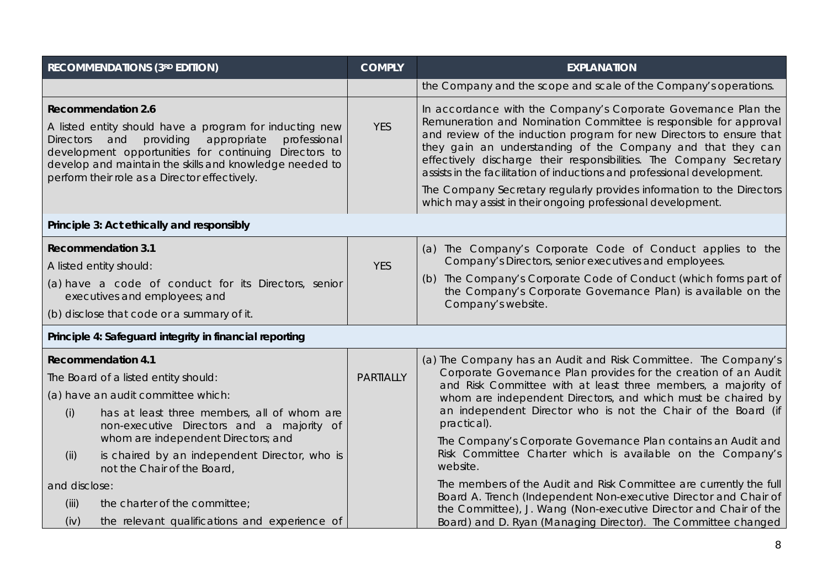|                                            | <b>RECOMMENDATIONS (3RD EDITION)</b>                                                                                                                                                                                                                                     | <b>COMPLY</b>    | <b>EXPLANATION</b>                                                                                                                                                                                                                                                                                                                                                                                                           |
|--------------------------------------------|--------------------------------------------------------------------------------------------------------------------------------------------------------------------------------------------------------------------------------------------------------------------------|------------------|------------------------------------------------------------------------------------------------------------------------------------------------------------------------------------------------------------------------------------------------------------------------------------------------------------------------------------------------------------------------------------------------------------------------------|
|                                            |                                                                                                                                                                                                                                                                          |                  | the Company and the scope and scale of the Company's operations.                                                                                                                                                                                                                                                                                                                                                             |
| <b>Recommendation 2.6</b><br>Directors and | A listed entity should have a program for inducting new<br>providing<br>appropriate<br>professional<br>development opportunities for continuing Directors to<br>develop and maintain the skills and knowledge needed to<br>perform their role as a Director effectively. | <b>YES</b>       | In accordance with the Company's Corporate Governance Plan the<br>Remuneration and Nomination Committee is responsible for approval<br>and review of the induction program for new Directors to ensure that<br>they gain an understanding of the Company and that they can<br>effectively discharge their responsibilities. The Company Secretary<br>assists in the facilitation of inductions and professional development. |
|                                            |                                                                                                                                                                                                                                                                          |                  | The Company Secretary regularly provides information to the Directors<br>which may assist in their ongoing professional development.                                                                                                                                                                                                                                                                                         |
|                                            | Principle 3: Act ethically and responsibly                                                                                                                                                                                                                               |                  |                                                                                                                                                                                                                                                                                                                                                                                                                              |
| <b>Recommendation 3.1</b>                  |                                                                                                                                                                                                                                                                          |                  | (a) The Company's Corporate Code of Conduct applies to the                                                                                                                                                                                                                                                                                                                                                                   |
| A listed entity should:                    |                                                                                                                                                                                                                                                                          | <b>YES</b>       | Company's Directors, senior executives and employees.                                                                                                                                                                                                                                                                                                                                                                        |
|                                            | (a) have a code of conduct for its Directors, senior<br>executives and employees; and                                                                                                                                                                                    |                  | (b) The Company's Corporate Code of Conduct (which forms part of<br>the Company's Corporate Governance Plan) is available on the<br>Company's website.                                                                                                                                                                                                                                                                       |
|                                            | (b) disclose that code or a summary of it.                                                                                                                                                                                                                               |                  |                                                                                                                                                                                                                                                                                                                                                                                                                              |
|                                            | Principle 4: Safeguard integrity in financial reporting                                                                                                                                                                                                                  |                  |                                                                                                                                                                                                                                                                                                                                                                                                                              |
| <b>Recommendation 4.1</b>                  |                                                                                                                                                                                                                                                                          |                  | (a) The Company has an Audit and Risk Committee. The Company's                                                                                                                                                                                                                                                                                                                                                               |
|                                            | The Board of a listed entity should:                                                                                                                                                                                                                                     | <b>PARTIALLY</b> | Corporate Governance Plan provides for the creation of an Audit<br>and Risk Committee with at least three members, a majority of                                                                                                                                                                                                                                                                                             |
|                                            | (a) have an audit committee which:                                                                                                                                                                                                                                       |                  | whom are independent Directors, and which must be chaired by                                                                                                                                                                                                                                                                                                                                                                 |
| (i)                                        | has at least three members, all of whom are<br>non-executive Directors and a majority of                                                                                                                                                                                 |                  | an independent Director who is not the Chair of the Board (if<br>practical).                                                                                                                                                                                                                                                                                                                                                 |
|                                            | whom are independent Directors; and                                                                                                                                                                                                                                      |                  | The Company's Corporate Governance Plan contains an Audit and                                                                                                                                                                                                                                                                                                                                                                |
| (ii)                                       | is chaired by an independent Director, who is<br>not the Chair of the Board,                                                                                                                                                                                             |                  | Risk Committee Charter which is available on the Company's<br>website.                                                                                                                                                                                                                                                                                                                                                       |
| and disclose:                              |                                                                                                                                                                                                                                                                          |                  | The members of the Audit and Risk Committee are currently the full                                                                                                                                                                                                                                                                                                                                                           |
| (iii)                                      | the charter of the committee;                                                                                                                                                                                                                                            |                  | Board A. Trench (Independent Non-executive Director and Chair of<br>the Committee), J. Wang (Non-executive Director and Chair of the                                                                                                                                                                                                                                                                                         |
| (iv)                                       | the relevant qualifications and experience of                                                                                                                                                                                                                            |                  | Board) and D. Ryan (Managing Director). The Committee changed                                                                                                                                                                                                                                                                                                                                                                |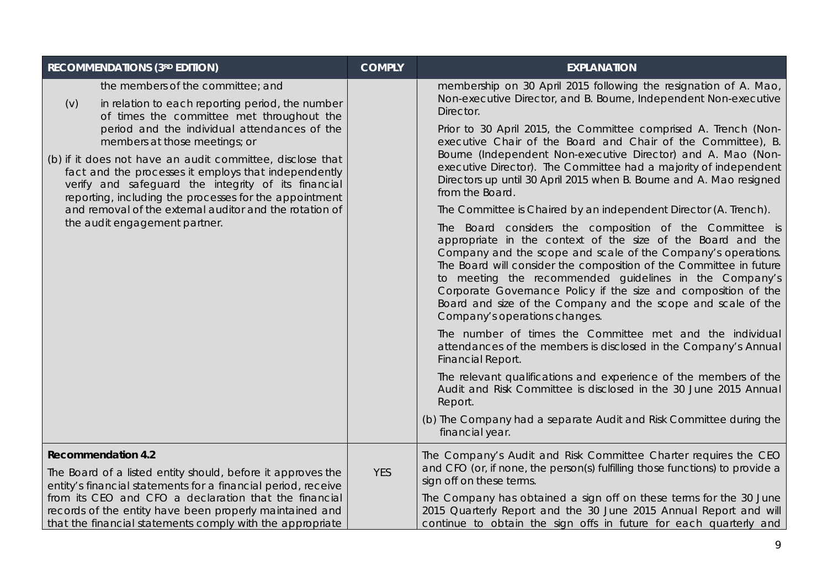| <b>RECOMMENDATIONS (3RD EDITION)</b>                                                                                                                                                                                                                                                                                                                                                                                                                                                                                                                         | <b>COMPLY</b> | <b>EXPLANATION</b>                                                                                                                                                                                                                                                                                                                                                                                                                                                                                                                                                                                                                                                                                                                                                                                                                                                                                                                                                                                                                                                                                                                                                                                                                                                                                                                                                                                                                                                                  |
|--------------------------------------------------------------------------------------------------------------------------------------------------------------------------------------------------------------------------------------------------------------------------------------------------------------------------------------------------------------------------------------------------------------------------------------------------------------------------------------------------------------------------------------------------------------|---------------|-------------------------------------------------------------------------------------------------------------------------------------------------------------------------------------------------------------------------------------------------------------------------------------------------------------------------------------------------------------------------------------------------------------------------------------------------------------------------------------------------------------------------------------------------------------------------------------------------------------------------------------------------------------------------------------------------------------------------------------------------------------------------------------------------------------------------------------------------------------------------------------------------------------------------------------------------------------------------------------------------------------------------------------------------------------------------------------------------------------------------------------------------------------------------------------------------------------------------------------------------------------------------------------------------------------------------------------------------------------------------------------------------------------------------------------------------------------------------------------|
| the members of the committee; and<br>in relation to each reporting period, the number<br>(v)<br>of times the committee met throughout the<br>period and the individual attendances of the<br>members at those meetings; or<br>(b) if it does not have an audit committee, disclose that<br>fact and the processes it employs that independently<br>verify and safeguard the integrity of its financial<br>reporting, including the processes for the appointment<br>and removal of the external auditor and the rotation of<br>the audit engagement partner. |               | membership on 30 April 2015 following the resignation of A. Mao,<br>Non-executive Director, and B. Bourne, Independent Non-executive<br>Director.<br>Prior to 30 April 2015, the Committee comprised A. Trench (Non-<br>executive Chair of the Board and Chair of the Committee), B.<br>Bourne (Independent Non-executive Director) and A. Mao (Non-<br>executive Director). The Committee had a majority of independent<br>Directors up until 30 April 2015 when B. Bourne and A. Mao resigned<br>from the Board.<br>The Committee is Chaired by an independent Director (A. Trench).<br>The Board considers the composition of the Committee is<br>appropriate in the context of the size of the Board and the<br>Company and the scope and scale of the Company's operations.<br>The Board will consider the composition of the Committee in future<br>to meeting the recommended guidelines in the Company's<br>Corporate Governance Policy if the size and composition of the<br>Board and size of the Company and the scope and scale of the<br>Company's operations changes.<br>The number of times the Committee met and the individual<br>attendances of the members is disclosed in the Company's Annual<br>Financial Report.<br>The relevant qualifications and experience of the members of the<br>Audit and Risk Committee is disclosed in the 30 June 2015 Annual<br>Report.<br>(b) The Company had a separate Audit and Risk Committee during the<br>financial year. |
| <b>Recommendation 4.2</b><br>The Board of a listed entity should, before it approves the<br>entity's financial statements for a financial period, receive<br>from its CEO and CFO a declaration that the financial<br>records of the entity have been properly maintained and<br>that the financial statements comply with the appropriate                                                                                                                                                                                                                   | <b>YES</b>    | The Company's Audit and Risk Committee Charter requires the CEO<br>and CFO (or, if none, the person(s) fulfilling those functions) to provide a<br>sign off on these terms.<br>The Company has obtained a sign off on these terms for the 30 June<br>2015 Quarterly Report and the 30 June 2015 Annual Report and will<br>continue to obtain the sign offs in future for each quarterly and                                                                                                                                                                                                                                                                                                                                                                                                                                                                                                                                                                                                                                                                                                                                                                                                                                                                                                                                                                                                                                                                                         |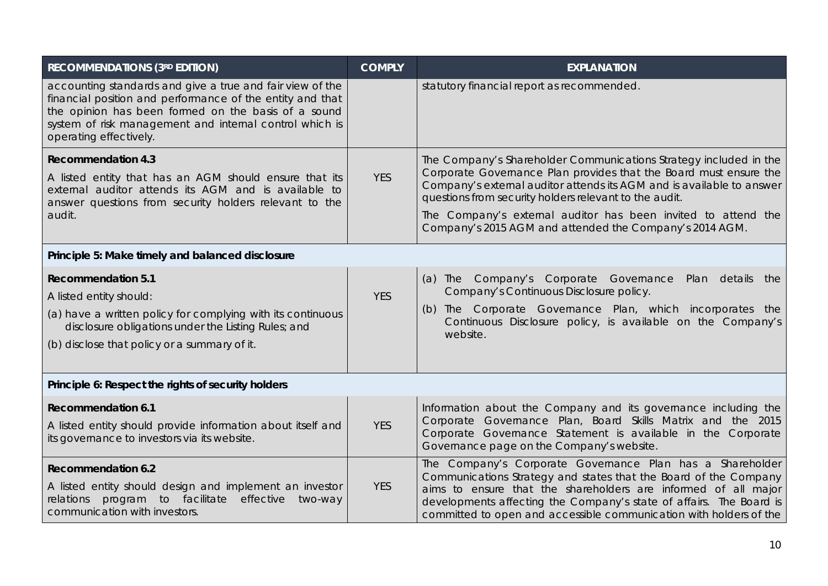| <b>RECOMMENDATIONS (3RD EDITION)</b>                                                                                                                                                                                                                               | <b>COMPLY</b> | <b>EXPLANATION</b>                                                                                                                                                                                                                                                                                                                                                                                    |  |
|--------------------------------------------------------------------------------------------------------------------------------------------------------------------------------------------------------------------------------------------------------------------|---------------|-------------------------------------------------------------------------------------------------------------------------------------------------------------------------------------------------------------------------------------------------------------------------------------------------------------------------------------------------------------------------------------------------------|--|
| accounting standards and give a true and fair view of the<br>financial position and performance of the entity and that<br>the opinion has been formed on the basis of a sound<br>system of risk management and internal control which is<br>operating effectively. |               | statutory financial report as recommended.                                                                                                                                                                                                                                                                                                                                                            |  |
| <b>Recommendation 4.3</b><br>A listed entity that has an AGM should ensure that its<br>external auditor attends its AGM and is available to<br>answer questions from security holders relevant to the<br>audit.                                                    | <b>YES</b>    | The Company's Shareholder Communications Strategy included in the<br>Corporate Governance Plan provides that the Board must ensure the<br>Company's external auditor attends its AGM and is available to answer<br>questions from security holders relevant to the audit.<br>The Company's external auditor has been invited to attend the<br>Company's 2015 AGM and attended the Company's 2014 AGM. |  |
| Principle 5: Make timely and balanced disclosure                                                                                                                                                                                                                   |               |                                                                                                                                                                                                                                                                                                                                                                                                       |  |
| <b>Recommendation 5.1</b><br>A listed entity should:<br>(a) have a written policy for complying with its continuous<br>disclosure obligations under the Listing Rules; and<br>(b) disclose that policy or a summary of it.                                         | <b>YES</b>    | (a) The Company's Corporate Governance<br>Plan details<br>the<br>Company's Continuous Disclosure policy.<br>(b) The Corporate Governance Plan, which incorporates the<br>Continuous Disclosure policy, is available on the Company's<br>website.                                                                                                                                                      |  |
| Principle 6: Respect the rights of security holders                                                                                                                                                                                                                |               |                                                                                                                                                                                                                                                                                                                                                                                                       |  |
| <b>Recommendation 6.1</b><br>A listed entity should provide information about itself and<br>its governance to investors via its website.                                                                                                                           | <b>YES</b>    | Information about the Company and its governance including the<br>Corporate Governance Plan, Board Skills Matrix and the 2015<br>Corporate Governance Statement is available in the Corporate<br>Governance page on the Company's website.                                                                                                                                                            |  |
| <b>Recommendation 6.2</b><br>A listed entity should design and implement an investor<br>program to facilitate<br>effective<br>relations<br>two-way<br>communication with investors.                                                                                | <b>YES</b>    | The Company's Corporate Governance Plan has a Shareholder<br>Communications Strategy and states that the Board of the Company<br>aims to ensure that the shareholders are informed of all major<br>developments affecting the Company's state of affairs. The Board is<br>committed to open and accessible communication with holders of the                                                          |  |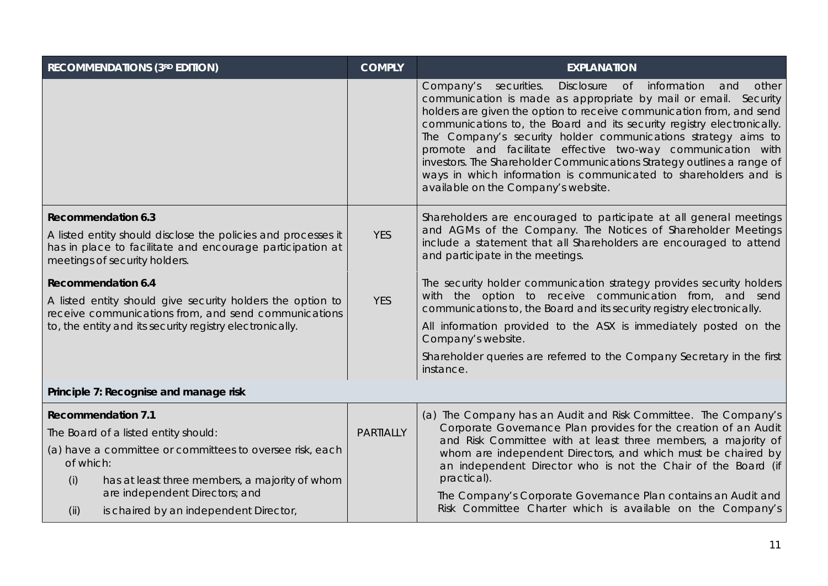| <b>RECOMMENDATIONS (3RD EDITION)</b>                                                                                                                        | <b>COMPLY</b>    | <b>EXPLANATION</b>                                                                                                                                                                                                                                                                                                                                                                                                                                                                                                                                                                                                               |
|-------------------------------------------------------------------------------------------------------------------------------------------------------------|------------------|----------------------------------------------------------------------------------------------------------------------------------------------------------------------------------------------------------------------------------------------------------------------------------------------------------------------------------------------------------------------------------------------------------------------------------------------------------------------------------------------------------------------------------------------------------------------------------------------------------------------------------|
|                                                                                                                                                             |                  | <b>Disclosure</b><br>$\circ$ f<br>Company's securities.<br>information<br>and<br>other<br>communication is made as appropriate by mail or email. Security<br>holders are given the option to receive communication from, and send<br>communications to, the Board and its security registry electronically.<br>The Company's security holder communications strategy aims to<br>promote and facilitate effective two-way communication with<br>investors. The Shareholder Communications Strategy outlines a range of<br>ways in which information is communicated to shareholders and is<br>available on the Company's website. |
| <b>Recommendation 6.3</b>                                                                                                                                   |                  | Shareholders are encouraged to participate at all general meetings                                                                                                                                                                                                                                                                                                                                                                                                                                                                                                                                                               |
| A listed entity should disclose the policies and processes it<br>has in place to facilitate and encourage participation at<br>meetings of security holders. | <b>YES</b>       | and AGMs of the Company. The Notices of Shareholder Meetings<br>include a statement that all Shareholders are encouraged to attend<br>and participate in the meetings.                                                                                                                                                                                                                                                                                                                                                                                                                                                           |
| <b>Recommendation 6.4</b>                                                                                                                                   |                  | The security holder communication strategy provides security holders                                                                                                                                                                                                                                                                                                                                                                                                                                                                                                                                                             |
| A listed entity should give security holders the option to<br>receive communications from, and send communications                                          | <b>YES</b>       | with the option to receive communication from, and send<br>communications to, the Board and its security registry electronically.                                                                                                                                                                                                                                                                                                                                                                                                                                                                                                |
| to, the entity and its security registry electronically.                                                                                                    |                  | All information provided to the ASX is immediately posted on the<br>Company's website.                                                                                                                                                                                                                                                                                                                                                                                                                                                                                                                                           |
|                                                                                                                                                             |                  | Shareholder queries are referred to the Company Secretary in the first<br>instance.                                                                                                                                                                                                                                                                                                                                                                                                                                                                                                                                              |
| Principle 7: Recognise and manage risk                                                                                                                      |                  |                                                                                                                                                                                                                                                                                                                                                                                                                                                                                                                                                                                                                                  |
| <b>Recommendation 7.1</b>                                                                                                                                   |                  | (a) The Company has an Audit and Risk Committee. The Company's                                                                                                                                                                                                                                                                                                                                                                                                                                                                                                                                                                   |
| The Board of a listed entity should:                                                                                                                        | <b>PARTIALLY</b> | Corporate Governance Plan provides for the creation of an Audit<br>and Risk Committee with at least three members, a majority of                                                                                                                                                                                                                                                                                                                                                                                                                                                                                                 |
| (a) have a committee or committees to oversee risk, each<br>of which:                                                                                       |                  | whom are independent Directors, and which must be chaired by<br>an independent Director who is not the Chair of the Board (if                                                                                                                                                                                                                                                                                                                                                                                                                                                                                                    |
| has at least three members, a majority of whom<br>(i)<br>are independent Directors; and                                                                     |                  | practical).<br>The Company's Corporate Governance Plan contains an Audit and                                                                                                                                                                                                                                                                                                                                                                                                                                                                                                                                                     |
| is chaired by an independent Director,<br>(ii)                                                                                                              |                  | Risk Committee Charter which is available on the Company's                                                                                                                                                                                                                                                                                                                                                                                                                                                                                                                                                                       |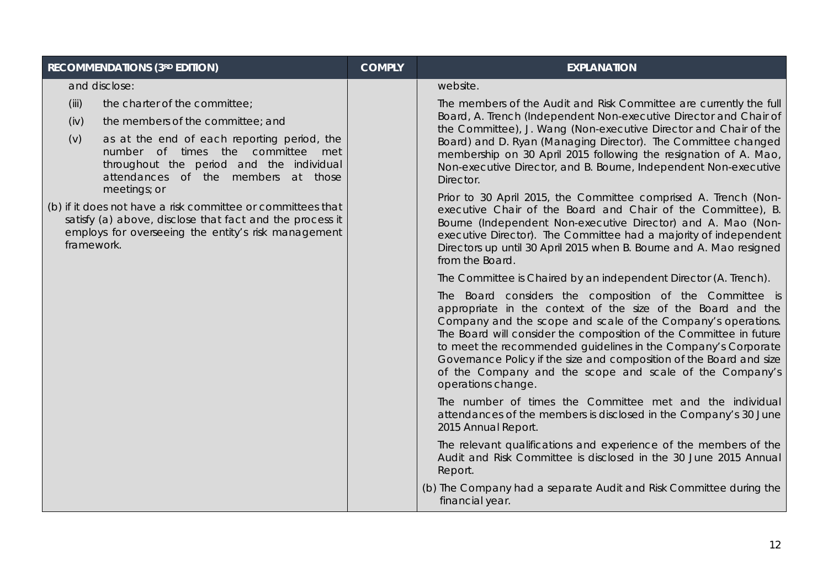| <b>RECOMMENDATIONS (3RD EDITION)</b>                                                                                                                                                         | <b>COMPLY</b> | <b>EXPLANATION</b>                                                                                                                                                                                                                                                                                                                                                                                                                                                                    |
|----------------------------------------------------------------------------------------------------------------------------------------------------------------------------------------------|---------------|---------------------------------------------------------------------------------------------------------------------------------------------------------------------------------------------------------------------------------------------------------------------------------------------------------------------------------------------------------------------------------------------------------------------------------------------------------------------------------------|
| and disclose:                                                                                                                                                                                |               | website.                                                                                                                                                                                                                                                                                                                                                                                                                                                                              |
| (iii)<br>the charter of the committee;<br>(iv)<br>the members of the committee; and                                                                                                          |               | The members of the Audit and Risk Committee are currently the full<br>Board, A. Trench (Independent Non-executive Director and Chair of<br>the Committee), J. Wang (Non-executive Director and Chair of the                                                                                                                                                                                                                                                                           |
| (v)<br>as at the end of each reporting period, the<br>number of times the committee met<br>throughout the period and the individual<br>attendances of the members at those<br>meetings; or   |               | Board) and D. Ryan (Managing Director). The Committee changed<br>membership on 30 April 2015 following the resignation of A. Mao,<br>Non-executive Director, and B. Bourne, Independent Non-executive<br>Director.                                                                                                                                                                                                                                                                    |
| (b) if it does not have a risk committee or committees that<br>satisfy (a) above, disclose that fact and the process it<br>employs for overseeing the entity's risk management<br>framework. |               | Prior to 30 April 2015, the Committee comprised A. Trench (Non-<br>executive Chair of the Board and Chair of the Committee), B.<br>Bourne (Independent Non-executive Director) and A. Mao (Non-<br>executive Director). The Committee had a majority of independent<br>Directors up until 30 April 2015 when B. Bourne and A. Mao resigned<br>from the Board.                                                                                                                         |
|                                                                                                                                                                                              |               | The Committee is Chaired by an independent Director (A. Trench).                                                                                                                                                                                                                                                                                                                                                                                                                      |
|                                                                                                                                                                                              |               | The Board considers the composition of the Committee is<br>appropriate in the context of the size of the Board and the<br>Company and the scope and scale of the Company's operations.<br>The Board will consider the composition of the Committee in future<br>to meet the recommended guidelines in the Company's Corporate<br>Governance Policy if the size and composition of the Board and size<br>of the Company and the scope and scale of the Company's<br>operations change. |
|                                                                                                                                                                                              |               | The number of times the Committee met and the individual<br>attendances of the members is disclosed in the Company's 30 June<br>2015 Annual Report.                                                                                                                                                                                                                                                                                                                                   |
|                                                                                                                                                                                              |               | The relevant qualifications and experience of the members of the<br>Audit and Risk Committee is disclosed in the 30 June 2015 Annual<br>Report.                                                                                                                                                                                                                                                                                                                                       |
|                                                                                                                                                                                              |               | (b) The Company had a separate Audit and Risk Committee during the<br>financial year.                                                                                                                                                                                                                                                                                                                                                                                                 |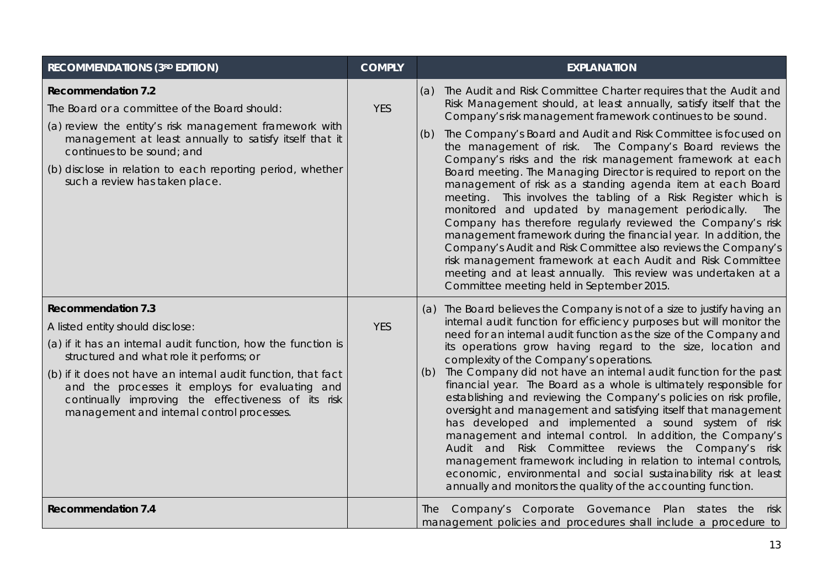| RECOMMENDATIONS (3RD EDITION)                                                                                                                                                                                                                                                                                                                                                                       | <b>COMPLY</b> | <b>EXPLANATION</b>                                                                                                                                                                                                                                                                                                                                                                                                                                                                                                                                                                                                                                                                                                                                                                                                                                                                                                                                                                                                                                             |
|-----------------------------------------------------------------------------------------------------------------------------------------------------------------------------------------------------------------------------------------------------------------------------------------------------------------------------------------------------------------------------------------------------|---------------|----------------------------------------------------------------------------------------------------------------------------------------------------------------------------------------------------------------------------------------------------------------------------------------------------------------------------------------------------------------------------------------------------------------------------------------------------------------------------------------------------------------------------------------------------------------------------------------------------------------------------------------------------------------------------------------------------------------------------------------------------------------------------------------------------------------------------------------------------------------------------------------------------------------------------------------------------------------------------------------------------------------------------------------------------------------|
| <b>Recommendation 7.2</b><br>The Board or a committee of the Board should:<br>(a) review the entity's risk management framework with<br>management at least annually to satisfy itself that it<br>continues to be sound; and<br>(b) disclose in relation to each reporting period, whether<br>such a review has taken place.                                                                        | <b>YES</b>    | The Audit and Risk Committee Charter requires that the Audit and<br>(a)<br>Risk Management should, at least annually, satisfy itself that the<br>Company's risk management framework continues to be sound.<br>The Company's Board and Audit and Risk Committee is focused on<br>(b)<br>the management of risk. The Company's Board reviews the<br>Company's risks and the risk management framework at each<br>Board meeting. The Managing Director is required to report on the<br>management of risk as a standing agenda item at each Board<br>meeting. This involves the tabling of a Risk Register which is<br>monitored and updated by management periodically.<br>The<br>Company has therefore regularly reviewed the Company's risk<br>management framework during the financial year. In addition, the<br>Company's Audit and Risk Committee also reviews the Company's<br>risk management framework at each Audit and Risk Committee<br>meeting and at least annually. This review was undertaken at a<br>Committee meeting held in September 2015. |
| <b>Recommendation 7.3</b><br>A listed entity should disclose:<br>(a) if it has an internal audit function, how the function is<br>structured and what role it performs; or<br>(b) if it does not have an internal audit function, that fact<br>and the processes it employs for evaluating and<br>continually improving the effectiveness of its risk<br>management and internal control processes. | <b>YES</b>    | (a) The Board believes the Company is not of a size to justify having an<br>internal audit function for efficiency purposes but will monitor the<br>need for an internal audit function as the size of the Company and<br>its operations grow having regard to the size, location and<br>complexity of the Company's operations.<br>The Company did not have an internal audit function for the past<br>(b)<br>financial year. The Board as a whole is ultimately responsible for<br>establishing and reviewing the Company's policies on risk profile,<br>oversight and management and satisfying itself that management<br>has developed and implemented a sound system of risk<br>management and internal control. In addition, the Company's<br>Audit and Risk Committee reviews the Company's risk<br>management framework including in relation to internal controls,<br>economic, environmental and social sustainability risk at least<br>annually and monitors the quality of the accounting function.                                                |
| <b>Recommendation 7.4</b>                                                                                                                                                                                                                                                                                                                                                                           |               | The Company's Corporate Governance Plan states the risk<br>management policies and procedures shall include a procedure to                                                                                                                                                                                                                                                                                                                                                                                                                                                                                                                                                                                                                                                                                                                                                                                                                                                                                                                                     |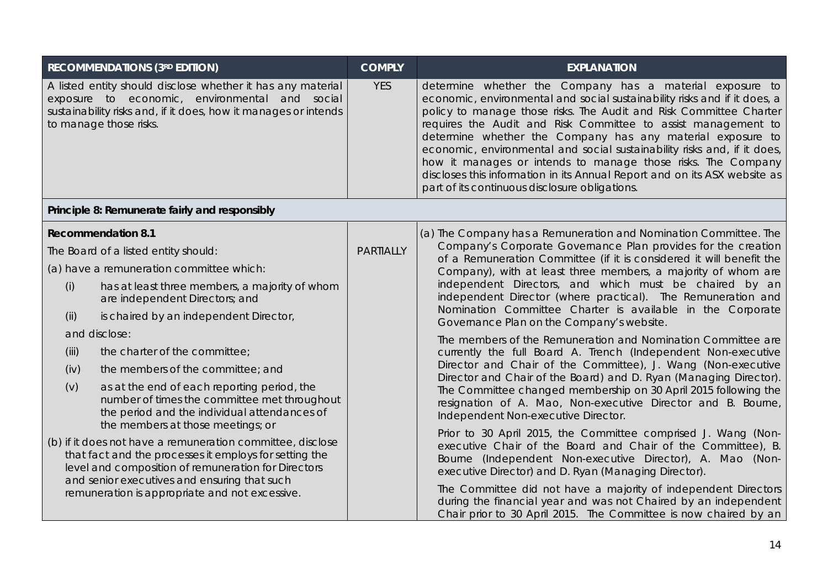| <b>RECOMMENDATIONS (3RD EDITION)</b>                                                                                                                                                                                                                                                                                                                                                                                                                                                                                                                          | <b>COMPLY</b>    | <b>EXPLANATION</b>                                                                                                                                                                                                                                                                                                                                                                                                                                                                                                                                                                                                                                                                                                                                                                                                                                                                                                                                              |  |  |  |
|---------------------------------------------------------------------------------------------------------------------------------------------------------------------------------------------------------------------------------------------------------------------------------------------------------------------------------------------------------------------------------------------------------------------------------------------------------------------------------------------------------------------------------------------------------------|------------------|-----------------------------------------------------------------------------------------------------------------------------------------------------------------------------------------------------------------------------------------------------------------------------------------------------------------------------------------------------------------------------------------------------------------------------------------------------------------------------------------------------------------------------------------------------------------------------------------------------------------------------------------------------------------------------------------------------------------------------------------------------------------------------------------------------------------------------------------------------------------------------------------------------------------------------------------------------------------|--|--|--|
| A listed entity should disclose whether it has any material<br>exposure to economic, environmental and social<br>sustainability risks and, if it does, how it manages or intends<br>to manage those risks.                                                                                                                                                                                                                                                                                                                                                    | <b>YES</b>       | determine whether the Company has a material exposure to<br>economic, environmental and social sustainability risks and if it does, a<br>policy to manage those risks. The Audit and Risk Committee Charter<br>requires the Audit and Risk Committee to assist management to<br>determine whether the Company has any material exposure to<br>economic, environmental and social sustainability risks and, if it does,<br>how it manages or intends to manage those risks. The Company<br>discloses this information in its Annual Report and on its ASX website as<br>part of its continuous disclosure obligations.                                                                                                                                                                                                                                                                                                                                           |  |  |  |
| Principle 8: Remunerate fairly and responsibly                                                                                                                                                                                                                                                                                                                                                                                                                                                                                                                |                  |                                                                                                                                                                                                                                                                                                                                                                                                                                                                                                                                                                                                                                                                                                                                                                                                                                                                                                                                                                 |  |  |  |
| <b>Recommendation 8.1</b><br>The Board of a listed entity should:<br>(a) have a remuneration committee which:<br>has at least three members, a majority of whom<br>(i)<br>are independent Directors; and<br>is chaired by an independent Director,<br>(ii)<br>and disclose:<br>the charter of the committee;<br>(iii)<br>the members of the committee; and<br>(iv)<br>(v)<br>as at the end of each reporting period, the<br>number of times the committee met throughout<br>the period and the individual attendances of<br>the members at those meetings; or | <b>PARTIALLY</b> | (a) The Company has a Remuneration and Nomination Committee. The<br>Company's Corporate Governance Plan provides for the creation<br>of a Remuneration Committee (if it is considered it will benefit the<br>Company), with at least three members, a majority of whom are<br>independent Directors, and which must be chaired by an<br>independent Director (where practical). The Remuneration and<br>Nomination Committee Charter is available in the Corporate<br>Governance Plan on the Company's website.<br>The members of the Remuneration and Nomination Committee are<br>currently the full Board A. Trench (Independent Non-executive<br>Director and Chair of the Committee), J. Wang (Non-executive<br>Director and Chair of the Board) and D. Ryan (Managing Director).<br>The Committee changed membership on 30 April 2015 following the<br>resignation of A. Mao, Non-executive Director and B. Bourne,<br>Independent Non-executive Director. |  |  |  |
| (b) if it does not have a remuneration committee, disclose<br>that fact and the processes it employs for setting the<br>level and composition of remuneration for Directors<br>and senior executives and ensuring that such<br>remuneration is appropriate and not excessive.                                                                                                                                                                                                                                                                                 |                  | Prior to 30 April 2015, the Committee comprised J. Wang (Non-<br>executive Chair of the Board and Chair of the Committee), B.<br>Bourne (Independent Non-executive Director), A. Mao (Non-<br>executive Director) and D. Ryan (Managing Director).<br>The Committee did not have a majority of independent Directors<br>during the financial year and was not Chaired by an independent<br>Chair prior to 30 April 2015. The Committee is now chaired by an                                                                                                                                                                                                                                                                                                                                                                                                                                                                                                     |  |  |  |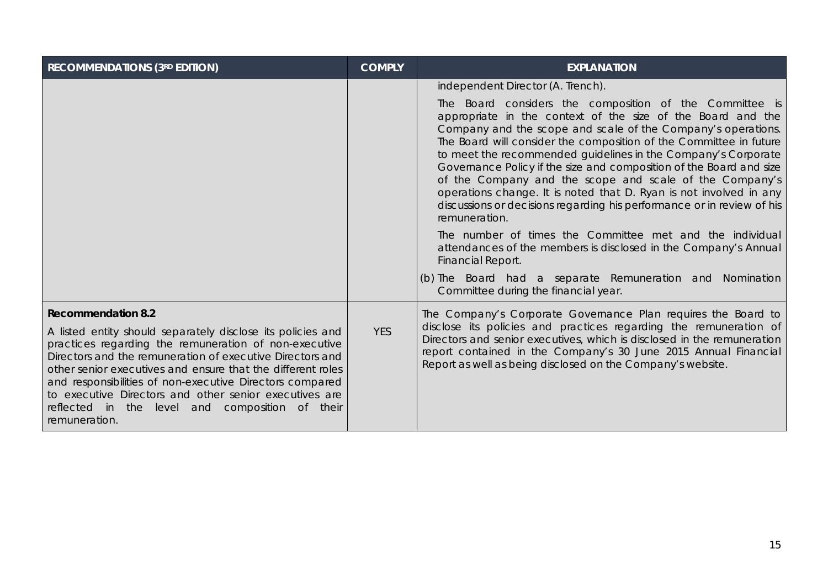| <b>RECOMMENDATIONS (3RD EDITION)</b>                                                                                                                                                                                                                                                                                                                                                                                                                                    | <b>COMPLY</b> | <b>EXPLANATION</b>                                                                                                                                                                                                                                                                                                                                                                                                                                                                                                                                                                                                                                                                                                                                                                                                                                                                    |
|-------------------------------------------------------------------------------------------------------------------------------------------------------------------------------------------------------------------------------------------------------------------------------------------------------------------------------------------------------------------------------------------------------------------------------------------------------------------------|---------------|---------------------------------------------------------------------------------------------------------------------------------------------------------------------------------------------------------------------------------------------------------------------------------------------------------------------------------------------------------------------------------------------------------------------------------------------------------------------------------------------------------------------------------------------------------------------------------------------------------------------------------------------------------------------------------------------------------------------------------------------------------------------------------------------------------------------------------------------------------------------------------------|
|                                                                                                                                                                                                                                                                                                                                                                                                                                                                         |               | independent Director (A. Trench).<br>The Board considers the composition of the Committee is<br>appropriate in the context of the size of the Board and the<br>Company and the scope and scale of the Company's operations.<br>The Board will consider the composition of the Committee in future<br>to meet the recommended guidelines in the Company's Corporate<br>Governance Policy if the size and composition of the Board and size<br>of the Company and the scope and scale of the Company's<br>operations change. It is noted that D. Ryan is not involved in any<br>discussions or decisions regarding his performance or in review of his<br>remuneration.<br>The number of times the Committee met and the individual<br>attendances of the members is disclosed in the Company's Annual<br>Financial Report.<br>(b) The Board had a separate Remuneration and Nomination |
|                                                                                                                                                                                                                                                                                                                                                                                                                                                                         |               | Committee during the financial year.                                                                                                                                                                                                                                                                                                                                                                                                                                                                                                                                                                                                                                                                                                                                                                                                                                                  |
| <b>Recommendation 8.2</b><br>A listed entity should separately disclose its policies and<br>practices regarding the remuneration of non-executive<br>Directors and the remuneration of executive Directors and<br>other senior executives and ensure that the different roles<br>and responsibilities of non-executive Directors compared<br>to executive Directors and other senior executives are<br>reflected in the level and composition of their<br>remuneration. | <b>YES</b>    | The Company's Corporate Governance Plan requires the Board to<br>disclose its policies and practices regarding the remuneration of<br>Directors and senior executives, which is disclosed in the remuneration<br>report contained in the Company's 30 June 2015 Annual Financial<br>Report as well as being disclosed on the Company's website.                                                                                                                                                                                                                                                                                                                                                                                                                                                                                                                                       |